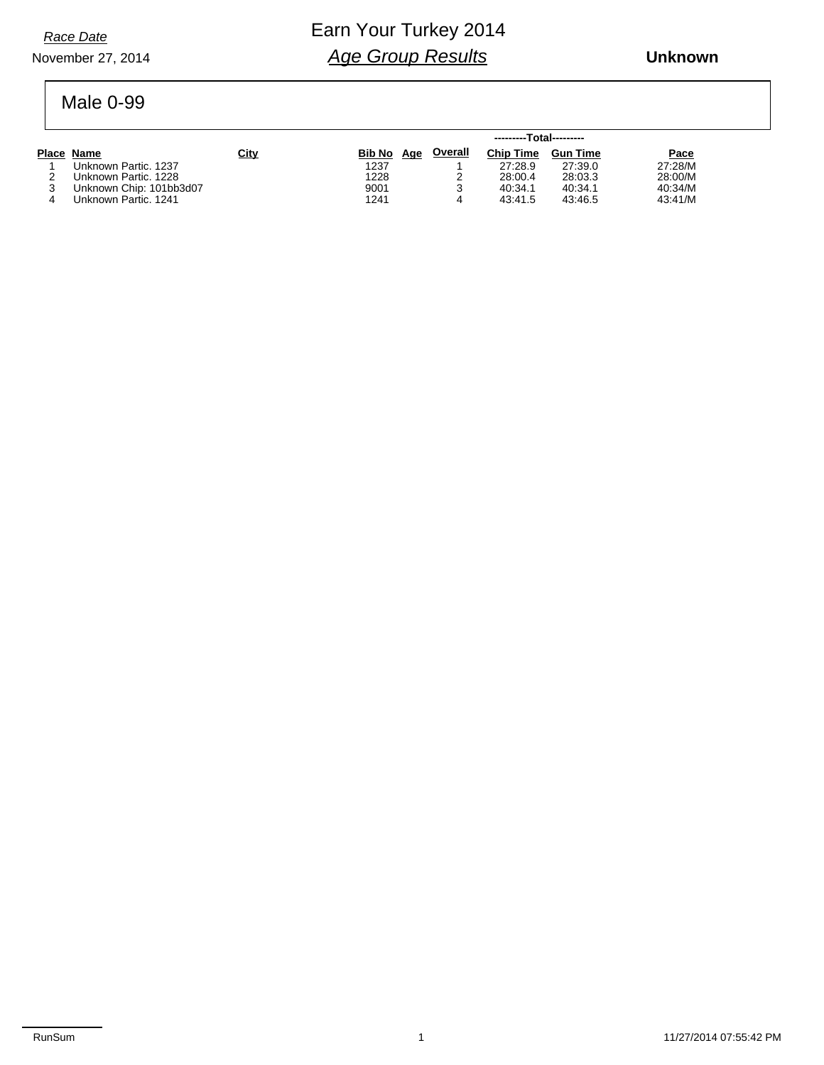*Race Date*

#### November 27, 2014

### Earn Your Turkey 2014 *Age Group Results*

 **Unknown**

#### Male 0-99

|                         |             | ---------Total--------- |                |                  |                 |         |  |  |  |
|-------------------------|-------------|-------------------------|----------------|------------------|-----------------|---------|--|--|--|
| Place Name              | <b>City</b> | Bib No Age              | <b>Overall</b> | <b>Chip Time</b> | <b>Gun Time</b> | Pace    |  |  |  |
| Unknown Partic, 1237    |             | 1237                    |                | 27:28.9          | 27:39.0         | 27:28/M |  |  |  |
| Unknown Partic, 1228    |             | 1228                    |                | 28:00.4          | 28:03.3         | 28:00/M |  |  |  |
| Unknown Chip: 101bb3d07 |             | 9001                    |                | 40:34.1          | 40:34.1         | 40:34/M |  |  |  |
| Unknown Partic, 1241    |             | 1241                    |                | 43:41.5          | 43:46.5         | 43:41/M |  |  |  |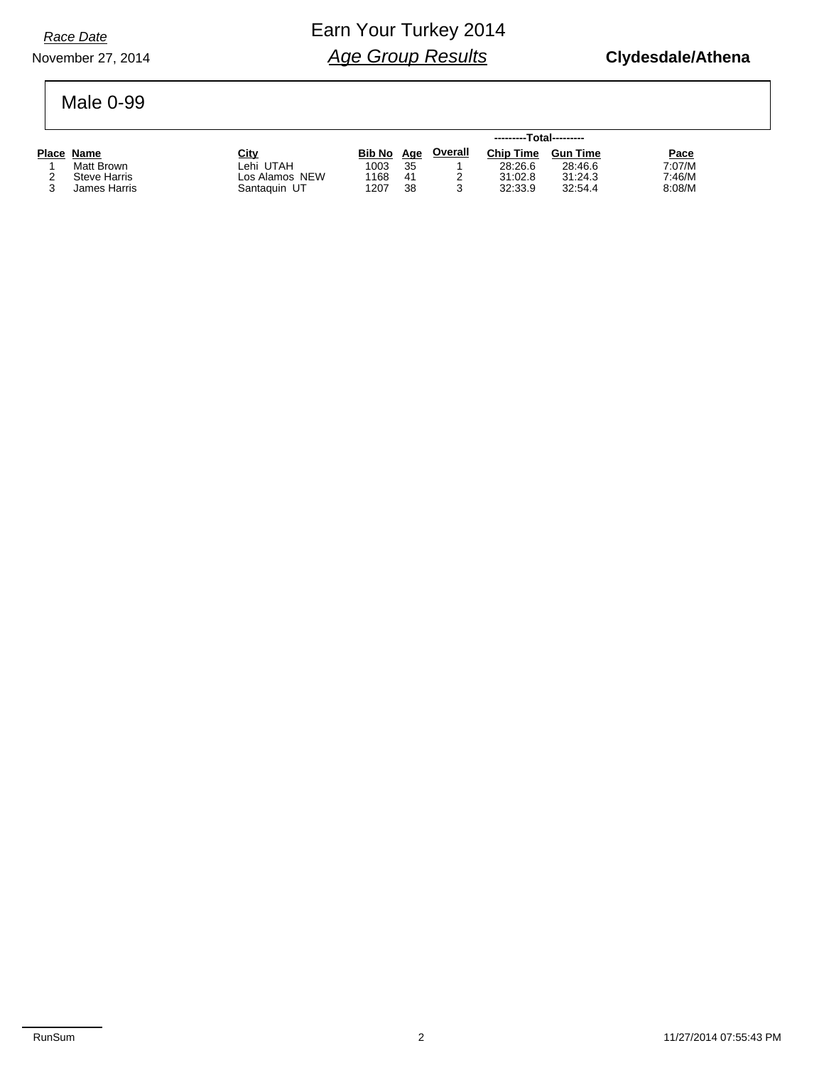November 27, 2014

## Earn Your Turkey 2014 *Age Group Results*

#### Male 0-99

|                     |                | ---------Total--------- |    |                |                  |                 |        |  |  |
|---------------------|----------------|-------------------------|----|----------------|------------------|-----------------|--------|--|--|
| Place Name          | City           | Bib No Age              |    | <u>Overall</u> | <b>Chip Time</b> | <b>Gun Time</b> | Pace   |  |  |
| Matt Brown          | Lehi UTAH      | 1003                    | 35 |                | 28:26.6          | 28:46.6         | 7:07/M |  |  |
| <b>Steve Harris</b> | Los Alamos NEW | 1168                    | 41 |                | 31:02.8          | 31:24.3         | 7:46/M |  |  |
| James Harris        | Santaguin UT   | 1207                    | 38 |                | 32:33.9          | 32:54.4         | 8:08/M |  |  |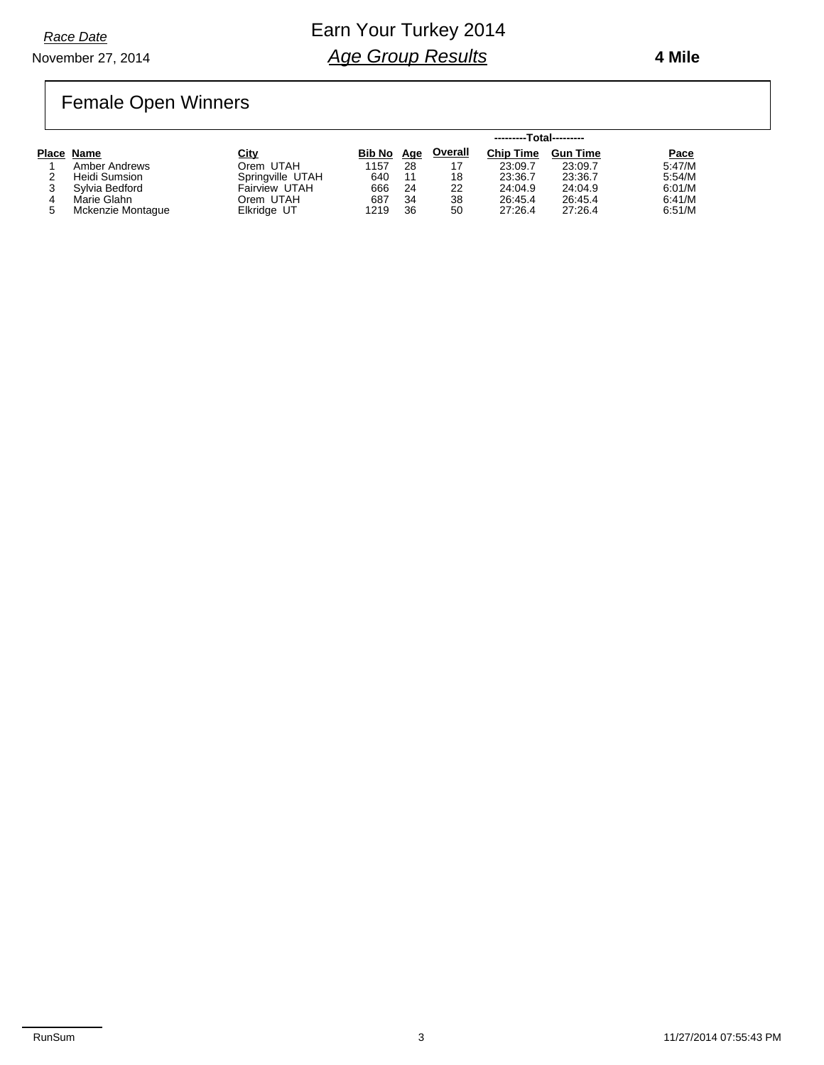November 27, 2014 *Race Date*

### Earn Your Turkey 2014 *Age Group Results*

 **4 Mile**

## Female Open Winners

|                   |                  |            | ---------Total--------- |                |                  |                 |        |  |  |  |
|-------------------|------------------|------------|-------------------------|----------------|------------------|-----------------|--------|--|--|--|
| Place Name        | City             | Bib No Age |                         | <b>Overall</b> | <b>Chip Time</b> | <b>Gun Time</b> | Pace   |  |  |  |
| Amber Andrews     | Orem UTAH        | 1157       | 28                      |                | 23:09.7          | 23:09.7         | 5:47/M |  |  |  |
| Heidi Sumsion     | Springville UTAH | 640        | 11                      | 18             | 23:36.7          | 23:36.7         | 5:54/M |  |  |  |
| Svlvia Bedford    | Fairview UTAH    | 666        | 24                      | 22             | 24:04.9          | 24:04.9         | 6:01/M |  |  |  |
| Marie Glahn       | Orem UTAH        | 687        | 34                      | 38             | 26:45.4          | 26:45.4         | 6:41/M |  |  |  |
| Mckenzie Montague | Elkridge UT      | 1219       | 36                      | 50             | 27:26.4          | 27:26.4         | 6:51/M |  |  |  |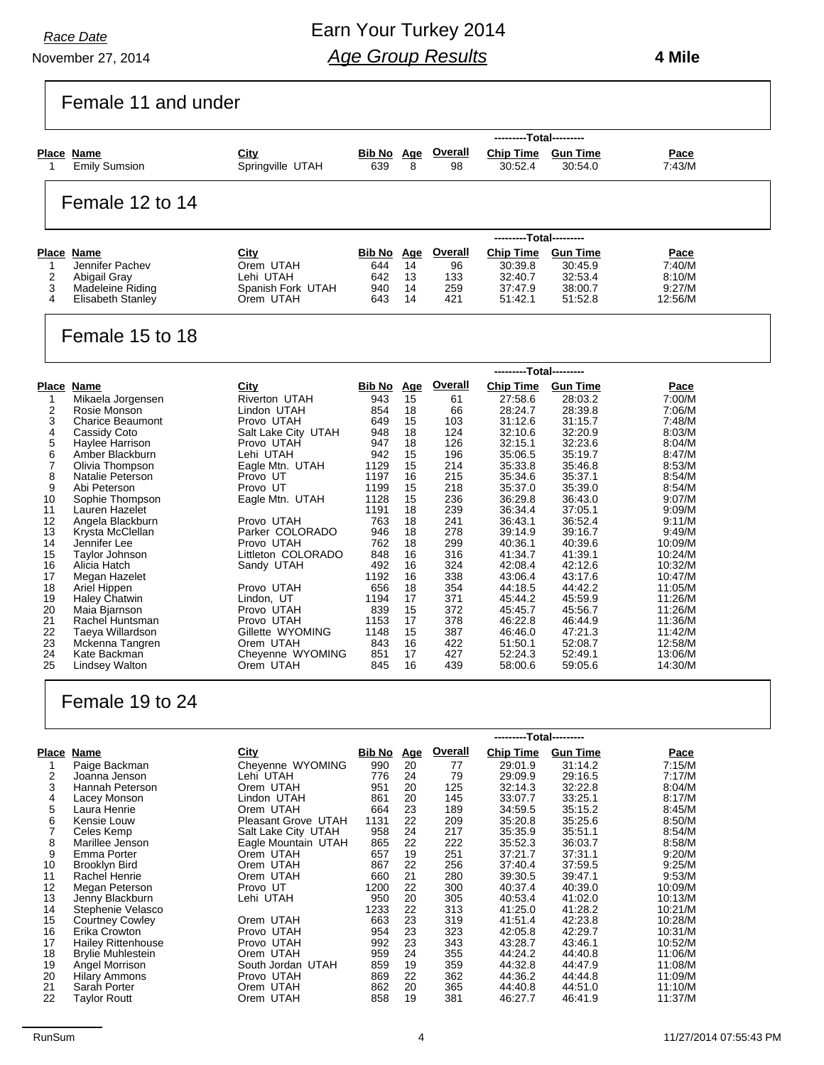November 27, 2014

### Earn Your Turkey 2014 *Age Group Results*

 **4 Mile**

### Female 11 and under

| Place Name<br>1                                                                         |                                                                                                                                                                                                     | City                                                                                                                                                                      |                                                                                             |                                                          |                                                                                    |                                                                                                                                |                                                                                                                               |                                                                                                          |
|-----------------------------------------------------------------------------------------|-----------------------------------------------------------------------------------------------------------------------------------------------------------------------------------------------------|---------------------------------------------------------------------------------------------------------------------------------------------------------------------------|---------------------------------------------------------------------------------------------|----------------------------------------------------------|------------------------------------------------------------------------------------|--------------------------------------------------------------------------------------------------------------------------------|-------------------------------------------------------------------------------------------------------------------------------|----------------------------------------------------------------------------------------------------------|
|                                                                                         | <b>Emily Sumsion</b>                                                                                                                                                                                | Springville UTAH                                                                                                                                                          | 639                                                                                         | 8                                                        | <b>Bib No Age Overall</b><br>98                                                    | <b>Chip Time</b><br>30:52.4                                                                                                    | <b>Gun Time</b><br>30:54.0                                                                                                    | Pace<br>7:43/M                                                                                           |
|                                                                                         | Female 12 to 14                                                                                                                                                                                     |                                                                                                                                                                           |                                                                                             |                                                          |                                                                                    |                                                                                                                                |                                                                                                                               |                                                                                                          |
|                                                                                         |                                                                                                                                                                                                     |                                                                                                                                                                           |                                                                                             |                                                          |                                                                                    | ---------Total---------                                                                                                        |                                                                                                                               |                                                                                                          |
| Place Name<br>1<br>$\overline{2}$<br>3<br>4                                             | Jennifer Pachev<br>Abigail Gray<br>Madeleine Riding<br>Elisabeth Stanley                                                                                                                            | City<br>Orem UTAH<br>Lehi UTAH<br>Spanish Fork UTAH<br>Orem UTAH                                                                                                          | <b>Bib No</b> Age<br>644<br>642<br>940<br>643                                               | 14<br>13<br>14<br>14                                     | Overall<br>96<br>133<br>259<br>421                                                 | <b>Chip Time</b><br>30:39.8<br>32:40.7<br>37:47.9<br>51:42.1                                                                   | <b>Gun Time</b><br>30:45.9<br>32:53.4<br>38:00.7<br>51:52.8                                                                   | Pace<br>7:40/M<br>8:10/M<br>9:27/M<br>12:56/M                                                            |
|                                                                                         | Female 15 to 18                                                                                                                                                                                     |                                                                                                                                                                           |                                                                                             |                                                          |                                                                                    |                                                                                                                                |                                                                                                                               |                                                                                                          |
|                                                                                         |                                                                                                                                                                                                     |                                                                                                                                                                           |                                                                                             |                                                          |                                                                                    | ---------Total---------                                                                                                        |                                                                                                                               |                                                                                                          |
| Place Name<br>1<br>$\overline{2}$<br>3<br>4<br>5<br>6<br>$\overline{7}$<br>8<br>9<br>10 | Mikaela Jorgensen<br>Rosie Monson<br><b>Charice Beaumont</b><br>Cassidy Coto<br>Haylee Harrison<br>Amber Blackburn<br>Olivia Thompson<br><b>Natalie Peterson</b><br>Abi Peterson<br>Sophie Thompson | City<br><b>Riverton UTAH</b><br>Lindon UTAH<br>Provo UTAH<br>Salt Lake City UTAH<br>Provo UTAH<br>Lehi UTAH<br>Eagle Mtn. UTAH<br>Provo UT<br>Provo UT<br>Eagle Mtn. UTAH | <b>Bib No</b> Age<br>943<br>854<br>649<br>948<br>947<br>942<br>1129<br>1197<br>1199<br>1128 | 15<br>18<br>15<br>18<br>18<br>15<br>15<br>16<br>15<br>15 | <b>Overall</b><br>61<br>66<br>103<br>124<br>126<br>196<br>214<br>215<br>218<br>236 | <b>Chip Time</b><br>27:58.6<br>28:24.7<br>31:12.6<br>32:10.6<br>32:15.1<br>35:06.5<br>35:33.8<br>35:34.6<br>35:37.0<br>36:29.8 | <b>Gun Time</b><br>28:03.2<br>28:39.8<br>31:15.7<br>32:20.9<br>32:23.6<br>35:19.7<br>35:46.8<br>35:37.1<br>35:39.0<br>36:43.0 | Pace<br>7:00/M<br>7:06/M<br>7:48/M<br>8:03/M<br>8:04/M<br>8:47/M<br>8:53/M<br>8:54/M<br>8:54/M<br>9:07/M |
| 11<br>12<br>13<br>14<br>15<br>16                                                        | Lauren Hazelet<br>Angela Blackburn<br>Krysta McClellan<br>Jennifer Lee<br>Taylor Johnson<br>Alicia Hatch                                                                                            | Provo UTAH<br>Parker COLORADO<br>Provo UTAH<br>Littleton COLORADO<br>Sandy UTAH                                                                                           | 1191<br>763<br>946<br>762<br>848<br>492                                                     | 18<br>18<br>18<br>18<br>16<br>16                         | 239<br>241<br>278<br>299<br>316<br>324                                             | 36:34.4<br>36:43.1<br>39:14.9<br>40:36.1<br>41:34.7<br>42:08.4                                                                 | 37:05.1<br>36:52.4<br>39:16.7<br>40:39.6<br>41:39.1<br>42:12.6                                                                | 9:09/M<br>9:11/M<br>9:49/M<br>10:09/M<br>10:24/M<br>10:32/M                                              |
| 17<br>18<br>19<br>20<br>21<br>22<br>23<br>24<br>25                                      | Megan Hazelet<br>Ariel Hippen<br><b>Haley Chatwin</b><br>Maia Bjarnson<br>Rachel Huntsman<br>Taeya Willardson<br>Mckenna Tangren<br>Kate Backman<br><b>Lindsey Walton</b>                           | Provo UTAH<br>Lindon, UT<br>Provo UTAH<br>Provo UTAH<br>Gillette WYOMING<br>Orem UTAH<br>Cheyenne WYOMING<br>Orem UTAH                                                    | 1192<br>656<br>1194<br>839<br>1153<br>1148<br>843<br>851<br>845                             | 16<br>18<br>17<br>15<br>17<br>15<br>16<br>17<br>16       | 338<br>354<br>371<br>372<br>378<br>387<br>422<br>427<br>439                        | 43:06.4<br>44:18.5<br>45:44.2<br>45:45.7<br>46:22.8<br>46:46.0<br>51:50.1<br>52:24.3<br>58:00.6                                | 43:17.6<br>44:42.2<br>45:59.9<br>45:56.7<br>46:44.9<br>47:21.3<br>52:08.7<br>52:49.1<br>59:05.6                               | 10:47/M<br>11:05/M<br>11:26/M<br>11:26/M<br>11:36/M<br>11:42/M<br>12:58/M<br>13:06/M<br>14:30/M          |

### Female 19 to 24

|       |                           |                     |        | ---------Total--------- |                |                  |                 |             |
|-------|---------------------------|---------------------|--------|-------------------------|----------------|------------------|-----------------|-------------|
| Place | Name                      | City                | Bib No | <u>Age</u>              | <b>Overall</b> | <b>Chip Time</b> | <b>Gun Time</b> | <u>Pace</u> |
|       | Paige Backman             | Cheyenne WYOMING    | 990    | 20                      | 77             | 29:01.9          | 31:14.2         | 7:15/M      |
| 2     | Joanna Jenson             | Lehi UTAH           | 776    | 24                      | 79             | 29:09.9          | 29:16.5         | 7:17/M      |
| 3     | Hannah Peterson           | Orem UTAH           | 951    | 20                      | 125            | 32:14.3          | 32:22.8         | 8:04/M      |
| 4     | Lacey Monson              | Lindon UTAH         | 861    | 20                      | 145            | 33:07.7          | 33:25.1         | 8:17/M      |
| 5     | Laura Henrie              | Orem UTAH           | 664    | 23                      | 189            | 34.59.5          | 35:15.2         | 8:45/M      |
| 6     | Kensie Louw               | Pleasant Grove UTAH | 1131   | 22                      | 209            | 35:20.8          | 35:25.6         | 8:50/M      |
|       | Celes Kemp                | Salt Lake City UTAH | 958    | 24                      | 217            | 35:35.9          | 35:51.1         | 8:54/M      |
| 8     | Marillee Jenson           | Eagle Mountain UTAH | 865    | 22                      | 222            | 35:52.3          | 36:03.7         | 8:58/M      |
| 9     | Emma Porter               | Orem UTAH           | 657    | 19                      | 251            | 37:21.7          | 37:31.1         | 9:20/M      |
| 10    | Brooklyn Bird             | Orem UTAH           | 867    | 22                      | 256            | 37:40.4          | 37:59.5         | 9:25/M      |
| 11    | Rachel Henrie             | Orem UTAH           | 660    | 21                      | 280            | 39:30.5          | 39:47.1         | 9:53/M      |
| 12    | Megan Peterson            | Provo UT            | 1200   | 22                      | 300            | 40:37.4          | 40:39.0         | 10:09/M     |
| 13    | Jenny Blackburn           | Lehi UTAH           | 950    | 20                      | 305            | 40:53.4          | 41:02.0         | 10:13/M     |
| 14    | Stephenie Velasco         |                     | 1233   | 22                      | 313            | 41:25.0          | 41:28.2         | 10:21/M     |
| 15    | <b>Courtney Cowley</b>    | Orem UTAH           | 663    | 23                      | 319            | 41:51.4          | 42:23.8         | 10:28/M     |
| 16    | Erika Crowton             | Provo UTAH          | 954    | 23                      | 323            | 42:05.8          | 42:29.7         | 10:31/M     |
| 17    | <b>Hailey Rittenhouse</b> | Provo UTAH          | 992    | 23                      | 343            | 43:28.7          | 43:46.1         | 10:52/M     |
| 18    | <b>Brylie Muhlestein</b>  | Orem UTAH           | 959    | 24                      | 355            | 44:24.2          | 44:40.8         | 11:06/M     |
| 19    | Angel Morrison            | South Jordan UTAH   | 859    | 19                      | 359            | 44:32.8          | 44:47.9         | 11:08/M     |
| 20    | <b>Hilary Ammons</b>      | Provo UTAH          | 869    | 22                      | 362            | 44:36.2          | 44:44.8         | 11:09/M     |
| 21    | Sarah Porter              | Orem UTAH           | 862    | 20                      | 365            | 44:40.8          | 44:51.0         | 11:10/M     |
| 22    | Taylor Routt              | Orem UTAH           | 858    | 19                      | 381            | 46:27.7          | 46:41.9         | 11:37/M     |
|       |                           |                     |        |                         |                |                  |                 |             |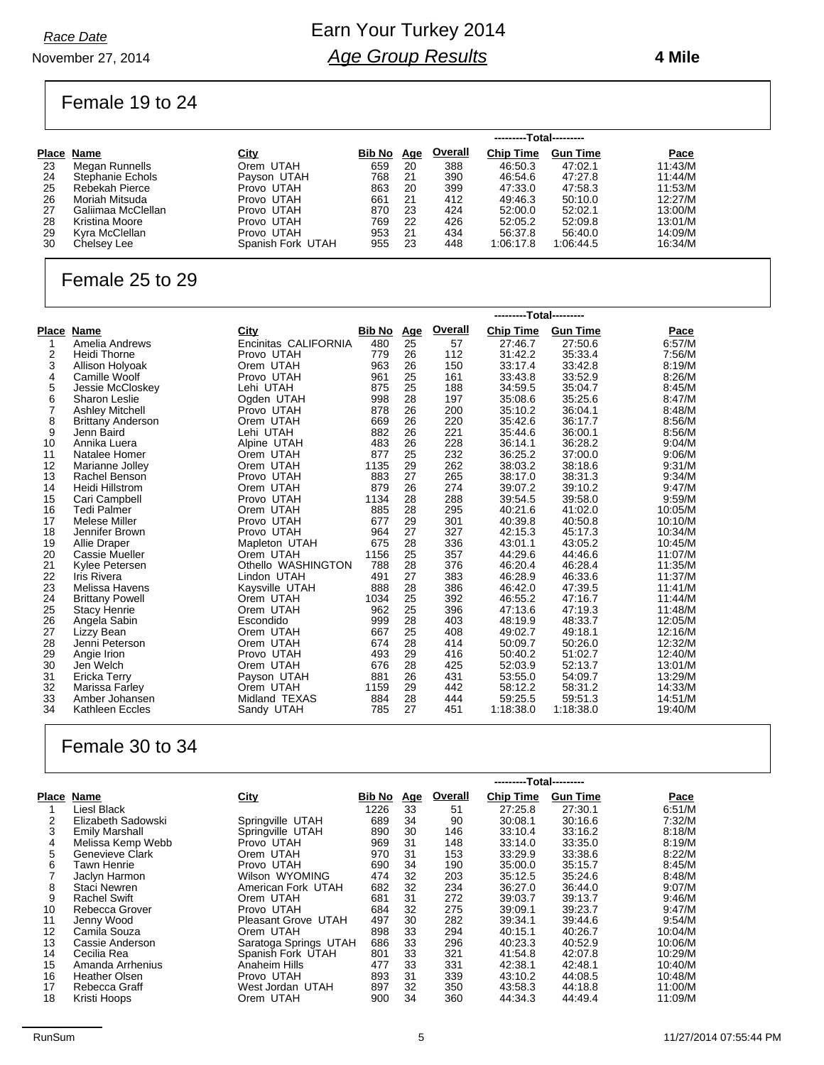November 27, 2014

### Earn Your Turkey 2014 *Age Group Results*

#### **4 Mile**

### Female 19 to 24

|    |                       |                   | ---------Total--------- |            |                |                  |                 |         |
|----|-----------------------|-------------------|-------------------------|------------|----------------|------------------|-----------------|---------|
|    | Place Name            | <u>City</u>       | Bib No                  | <u>Age</u> | <b>Overall</b> | <b>Chip Time</b> | <b>Gun Time</b> | Pace    |
| 23 | Megan Runnells        | Orem UTAH         | 659                     | 20         | 388            | 46:50.3          | 47:02.1         | 11:43/M |
| 24 | Stephanie Echols      | Payson UTAH       | 768                     | 21         | 390            | 46:54.6          | 47:27.8         | 11:44/M |
| 25 | <b>Rebekah Pierce</b> | Provo UTAH        | 863                     | 20         | 399            | 47:33.0          | 47:58.3         | 11:53/M |
| 26 | Moriah Mitsuda        | Provo UTAH        | 661                     | -21        | 412            | 49:46.3          | 50:10.0         | 12:27/M |
| 27 | Galiimaa McClellan    | Provo UTAH        | 870                     | 23         | 424            | 52:00.0          | 52:02.1         | 13:00/M |
| 28 | Kristina Moore        | Provo UTAH        | 769                     | 22         | 426            | 52:05.2          | 52:09.8         | 13:01/M |
| 29 | Kyra McClellan        | Provo UTAH        | 953                     | -21        | 434            | 56:37.8          | 56:40.0         | 14:09/M |
| 30 | Chelsey Lee           | Spanish Fork UTAH | 955                     | 23         | 448            | 1:06:17.8        | 1:06:44.5       | 16:34/M |

### Female 25 to 29

|                |                          |                      |               |            |         | ---------Total--------- |                 |         |
|----------------|--------------------------|----------------------|---------------|------------|---------|-------------------------|-----------------|---------|
| Place          | <b>Name</b>              | City                 | <b>Bib No</b> | <u>Age</u> | Overall | <b>Chip Time</b>        | <b>Gun Time</b> | Pace    |
| 1              | Amelia Andrews           | Encinitas CALIFORNIA | 480           | 25         | 57      | 27:46.7                 | 27:50.6         | 6:57/M  |
| 2              | Heidi Thorne             | Provo UTAH           | 779           | 26         | 112     | 31:42.2                 | 35:33.4         | 7:56/M  |
| 3              | Allison Holyoak          | Orem UTAH            | 963           | 26         | 150     | 33:17.4                 | 33:42.8         | 8:19/M  |
| 4              | Camille Woolf            | Provo UTAH           | 961           | 25         | 161     | 33:43.8                 | 33:52.9         | 8:26/M  |
| 5              | Jessie McCloskey         | Lehi UTAH            | 875           | 25         | 188     | 34:59.5                 | 35:04.7         | 8:45/M  |
| 6              | <b>Sharon Leslie</b>     | Ogden UTAH           | 998           | 28         | 197     | 35:08.6                 | 35:25.6         | 8:47/M  |
| $\overline{7}$ | <b>Ashley Mitchell</b>   | Provo UTAH           | 878           | 26         | 200     | 35:10.2                 | 36:04.1         | 8:48/M  |
| 8              | <b>Brittany Anderson</b> | Orem UTAH            | 669           | 26         | 220     | 35:42.6                 | 36:17.7         | 8:56/M  |
| 9              | Jenn Baird               | Lehi UTAH            | 882           | 26         | 221     | 35:44.6                 | 36:00.1         | 8:56/M  |
| 10             | Annika Luera             | Alpine UTAH          | 483           | 26         | 228     | 36:14.1                 | 36:28.2         | 9:04/M  |
| 11             | Natalee Homer            | Orem UTAH            | 877           | 25         | 232     | 36:25.2                 | 37:00.0         | 9:06/M  |
| 12             | Marianne Jolley          | Orem UTAH            | 1135          | 29         | 262     | 38:03.2                 | 38:18.6         | 9:31/M  |
| 13             | Rachel Benson            | Provo UTAH           | 883           | 27         | 265     | 38:17.0                 | 38:31.3         | 9:34/M  |
| 14             | Heidi Hillstrom          | Orem UTAH            | 879           | 26         | 274     | 39:07.2                 | 39:10.2         | 9:47/M  |
| 15             | Cari Campbell            | Provo UTAH           | 1134          | 28         | 288     | 39:54.5                 | 39:58.0         | 9:59/M  |
| 16             | <b>Tedi Palmer</b>       | Orem UTAH            | 885           | 28         | 295     | 40:21.6                 | 41:02.0         | 10:05/M |
| 17             | Melese Miller            | Provo UTAH           | 677           | 29         | 301     | 40:39.8                 | 40:50.8         | 10:10/M |
| 18             | Jennifer Brown           | Provo UTAH           | 964           | 27         | 327     | 42:15.3                 | 45:17.3         | 10:34/M |
| 19             | Allie Draper             | Mapleton UTAH        | 675           | 28         | 336     | 43:01.1                 | 43:05.2         | 10:45/M |
| 20             | Cassie Mueller           | Orem UTAH            | 1156          | 25         | 357     | 44:29.6                 | 44:46.6         | 11:07/M |
| 21             | Kylee Petersen           | Othello WASHINGTON   | 788           | 28         | 376     | 46:20.4                 | 46:28.4         | 11:35/M |
| 22             | Iris Rivera              | Lindon UTAH          | 491           | 27         | 383     | 46:28.9                 | 46:33.6         | 11:37/M |
| 23             | Melissa Havens           | Kaysville UTAH       | 888           | 28         | 386     | 46:42.0                 | 47:39.5         | 11:41/M |
| 24             | <b>Brittany Powell</b>   | Orem UTAH            | 1034          | 25         | 392     | 46:55.2                 | 47:16.7         | 11:44/M |
| 25             | <b>Stacy Henrie</b>      | Orem UTAH            | 962           | 25         | 396     | 47:13.6                 | 47:19.3         | 11:48/M |
| 26             | Angela Sabin             | Escondido            | 999           | 28         | 403     | 48:19.9                 | 48:33.7         | 12:05/M |
| 27             | Lizzy Bean               | Orem UTAH            | 667           | 25         | 408     | 49:02.7                 | 49:18.1         | 12:16/M |
| 28             | Jenni Peterson           | Orem UTAH            | 674           | 28         | 414     | 50:09.7                 | 50:26.0         | 12:32/M |
| 29             | Angie Irion              | Provo UTAH           | 493           | 29         | 416     | 50:40.2                 | 51:02.7         | 12:40/M |
| 30             | Jen Welch                | Orem UTAH            | 676           | 28         | 425     | 52:03.9                 | 52:13.7         | 13:01/M |
| 31             | Ericka Terry             | Payson UTAH          | 881           | 26         | 431     | 53:55.0                 | 54:09.7         | 13:29/M |
| 32             | Marissa Farley           | Orem UTAH            | 1159          | 29         | 442     | 58:12.2                 | 58:31.2         | 14:33/M |
| 33             | Amber Johansen           | Midland TEXAS        | 884           | 28         | 444     | 59:25.5                 | 59:51.3         | 14:51/M |
| 34             | Kathleen Eccles          | Sandy UTAH           | 785           | 27         | 451     | 1:18:38.0               | 1:18:38.0       | 19:40/M |
|                |                          |                      |               |            |         |                         |                 |         |

#### Female 30 to 34

|       |                       |                       |               |            |                | ---------Total--------- |                 |         |
|-------|-----------------------|-----------------------|---------------|------------|----------------|-------------------------|-----------------|---------|
| Place | Name                  | City                  | <b>Bib No</b> | <u>Age</u> | <b>Overall</b> | <b>Chip Time</b>        | <b>Gun Time</b> | Pace    |
|       | Liesl Black           |                       | 1226          | 33         | 51             | 27:25.8                 | 27:30.1         | 6:51/M  |
| 2     | Elizabeth Sadowski    | Springville UTAH      | 689           | 34         | 90             | 30:08.1                 | 30:16.6         | 7:32/M  |
| 3     | <b>Emily Marshall</b> | Springville UTAH      | 890           | 30         | 146            | 33.10.4                 | 33:16.2         | 8:18/M  |
| 4     | Melissa Kemp Webb     | Provo UTAH            | 969           | 31         | 148            | 33:14.0                 | 33:35.0         | 8:19/M  |
| 5     | Genevieve Clark       | Orem UTAH             | 970           | 31         | 153            | 33:29.9                 | 33:38.6         | 8:22/M  |
| 6     | Tawn Henrie           | Provo UTAH            | 690           | 34         | 190            | 35:00.0                 | 35:15.7         | 8:45/M  |
|       | Jaclyn Harmon         | Wilson WYOMING        | 474           | 32         | 203            | 35:12.5                 | 35:24.6         | 8:48/M  |
| 8     | Staci Newren          | American Fork UTAH    | 682           | 32         | 234            | 36:27.0                 | 36:44.0         | 9:07/M  |
| 9     | <b>Rachel Swift</b>   | Orem UTAH             | 681           | 31         | 272            | 39:03.7                 | 39:13.7         | 9:46/M  |
| 10    | Rebecca Grover        | Provo UTAH            | 684           | 32         | 275            | 39:09.1                 | 39:23.7         | 9:47/M  |
| 11    | Jenny Wood            | Pleasant Grove UTAH   | 497           | 30         | 282            | 39:34.1                 | 39:44.6         | 9:54/M  |
| 12    | Camila Souza          | Orem UTAH             | 898           | 33         | 294            | 40:15.1                 | 40:26.7         | 10:04/M |
| 13    | Cassie Anderson       | Saratoga Springs UTAH | 686           | 33         | 296            | 40:23.3                 | 40:52.9         | 10:06/M |
| 14    | Cecilia Rea           | Spanish Fork UTAH     | 801           | 33         | 321            | 41:54.8                 | 42:07.8         | 10:29/M |
| 15    | Amanda Arrhenius      | Anaheim Hills         | 477           | 33         | 331            | 42:38.1                 | 42:48.1         | 10:40/M |
| 16    | <b>Heather Olsen</b>  | Provo UTAH            | 893           | 31         | 339            | 43:10.2                 | 44:08.5         | 10:48/M |
| 17    | Rebecca Graff         | West Jordan UTAH      | 897           | 32         | 350            | 43:58.3                 | 44:18.8         | 11:00/M |
| 18    | Kristi Hoops          | Orem UTAH             | 900           | 34         | 360            | 44:34.3                 | 44:49.4         | 11:09/M |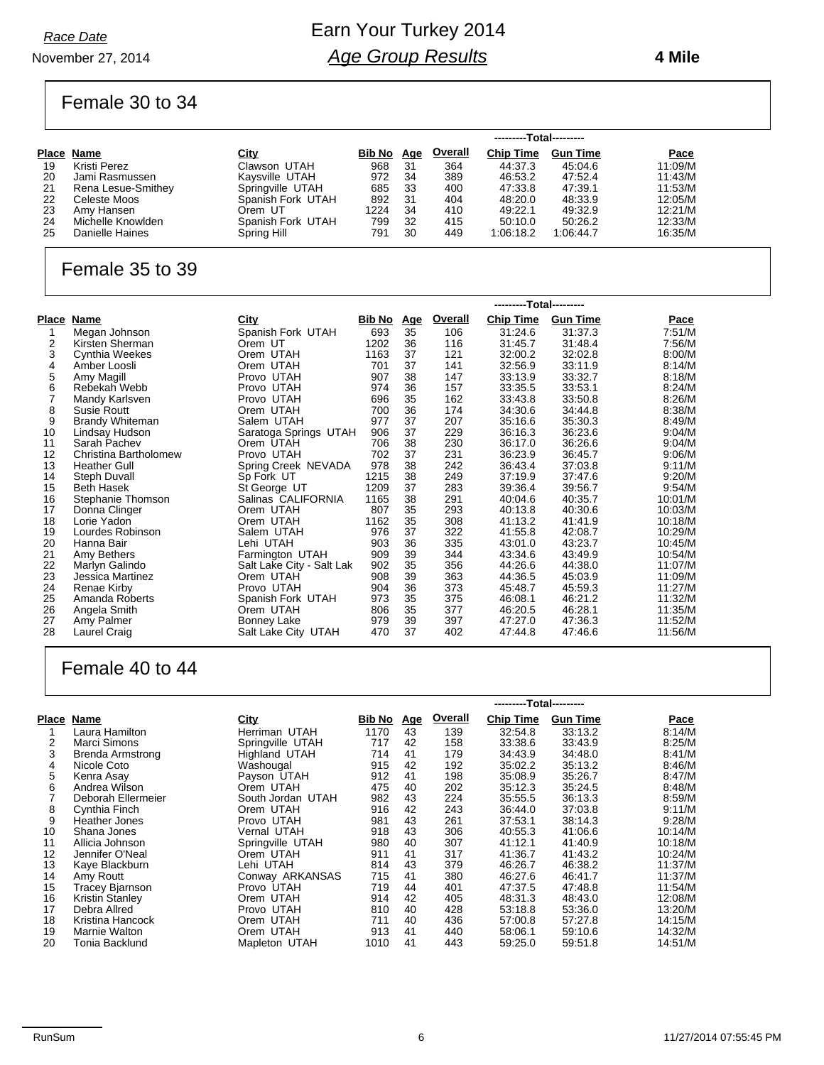#### November 27, 2014

### Earn Your Turkey 2014 *Age Group Results*

#### **4 Mile**

#### Female 30 to 34

|    |                    |                   | ---------Total--------- |            |                |                  |                 |         |
|----|--------------------|-------------------|-------------------------|------------|----------------|------------------|-----------------|---------|
|    | Place Name         | <u>City</u>       | Bib No                  | <u>Age</u> | <b>Overall</b> | <b>Chip Time</b> | <b>Gun Time</b> | Pace    |
| 19 | Kristi Perez       | Clawson UTAH      | 968                     | 31         | 364            | 44:37.3          | 45:04.6         | 11:09/M |
| 20 | Jami Rasmussen     | Kaysville UTAH    | 972                     | 34         | 389            | 46:53.2          | 47:52.4         | 11:43/M |
| 21 | Rena Lesue-Smithey | Springville UTAH  | 685                     | 33         | 400            | 47:33.8          | 47:39.1         | 11:53/M |
| 22 | Celeste Moos       | Spanish Fork UTAH | 892                     | 31         | 404            | 48:20.0          | 48:33.9         | 12:05/M |
| 23 | Amy Hansen         | Orem UT           | 1224                    | 34         | 410            | 49:22.1          | 49:32.9         | 12:21/M |
| 24 | Michelle Knowlden  | Spanish Fork UTAH | 799                     | 32         | 415            | 50:10.0          | 50:26.2         | 12:33/M |
| 25 | Danielle Haines    | Spring Hill       | 791                     | 30         | 449            | 1:06:18.2        | 1:06:44.7       | 16:35/M |

#### Female 35 to 39

|       |                        |                           |               | ---------Total--------- |                |                  |                 |         |
|-------|------------------------|---------------------------|---------------|-------------------------|----------------|------------------|-----------------|---------|
| Place | Name                   | <b>City</b>               | <u>Bib No</u> | <u>Age</u>              | <b>Overall</b> | <b>Chip Time</b> | <b>Gun Time</b> | Pace    |
|       | Megan Johnson          | Spanish Fork UTAH         | 693           | 35                      | 106            | 31:24.6          | 31:37.3         | 7:51/M  |
| 2     | Kirsten Sherman        | Orem UT                   | 1202          | 36                      | 116            | 31:45.7          | 31:48.4         | 7:56/M  |
| 3     | <b>Cynthia Weekes</b>  | Orem UTAH                 | 1163          | 37                      | 121            | 32:00.2          | 32:02.8         | 8:00/M  |
| 4     | Amber Loosli           | Orem UTAH                 | 701           | 37                      | 141            | 32:56.9          | 33:11.9         | 8:14/M  |
| 5     | Amy Magill             | Provo UTAH                | 907           | 38                      | 147            | 33:13.9          | 33:32.7         | 8:18/M  |
| 6     | Rebekah Webb           | Provo UTAH                | 974           | 36                      | 157            | 33:35.5          | 33:53.1         | 8:24/M  |
| 7     | Mandy Karlsven         | Provo UTAH                | 696           | 35                      | 162            | 33:43.8          | 33:50.8         | 8:26/M  |
| 8     | Susie Routt            | Orem UTAH                 | 700           | 36                      | 174            | 34:30.6          | 34:44.8         | 8:38/M  |
| 9     | <b>Brandy Whiteman</b> | Salem UTAH                | 977           | 37                      | 207            | 35:16.6          | 35:30.3         | 8:49/M  |
| 10    | Lindsay Hudson         | Saratoga Springs UTAH     | 906           | 37                      | 229            | 36:16.3          | 36:23.6         | 9:04/M  |
| 11    | Sarah Pachev           | Orem UTAH                 | 706           | 38                      | 230            | 36:17.0          | 36:26.6         | 9:04/M  |
| 12    | Christina Bartholomew  | Provo UTAH                | 702           | 37                      | 231            | 36:23.9          | 36:45.7         | 9:06/M  |
| 13    | <b>Heather Gull</b>    | Spring Creek NEVADA       | 978           | 38                      | 242            | 36:43.4          | 37:03.8         | 9:11/M  |
| 14    | Steph Duvall           | Sp Fork UT                | 1215          | 38                      | 249            | 37:19.9          | 37:47.6         | 9:20/M  |
| 15    | <b>Beth Hasek</b>      | St George UT              | 1209          | 37                      | 283            | 39:36.4          | 39:56.7         | 9:54/M  |
| 16    | Stephanie Thomson      | Salinas CALIFORNIA        | 1165          | 38                      | 291            | 40:04.6          | 40:35.7         | 10:01/M |
| 17    | Donna Clinger          | Orem UTAH                 | 807           | 35                      | 293            | 40:13.8          | 40:30.6         | 10:03/M |
| 18    | Lorie Yadon            | Orem UTAH                 | 1162          | 35                      | 308            | 41:13.2          | 41:41.9         | 10:18/M |
| 19    | Lourdes Robinson       | Salem UTAH                | 976           | 37                      | 322            | 41:55.8          | 42:08.7         | 10:29/M |
| 20    | Hanna Bair             | Lehi UTAH                 | 903           | 36                      | 335            | 43:01.0          | 43:23.7         | 10:45/M |
| 21    | Amy Bethers            | Farmington UTAH           | 909           | 39                      | 344            | 43:34.6          | 43:49.9         | 10:54/M |
| 22    | Marlyn Galindo         | Salt Lake City - Salt Lak | 902           | 35                      | 356            | 44:26.6          | 44:38.0         | 11:07/M |
| 23    | Jessica Martinez       | Orem UTAH                 | 908           | 39                      | 363            | 44:36.5          | 45:03.9         | 11:09/M |
| 24    | Renae Kirby            | Provo UTAH                | 904           | 36                      | 373            | 45:48.7          | 45.59.3         | 11:27/M |
| 25    | Amanda Roberts         | Spanish Fork UTAH         | 973           | 35                      | 375            | 46:08.1          | 46:21.2         | 11:32/M |
| 26    | Angela Smith           | Orem UTAH                 | 806           | 35                      | 377            | 46:20.5          | 46:28.1         | 11:35/M |
| 27    | Amy Palmer             | Bonney Lake               | 979           | 39                      | 397            | 47:27.0          | 47:36.3         | 11:52/M |
| 28    | Laurel Craig           | Salt Lake City UTAH       | 470           | 37                      | 402            | 47:44.8          | 47:46.6         | 11:56/M |

### Female 40 to 44

|    |                         |                   |               | ---------Total--------- |                |                  |                 |             |
|----|-------------------------|-------------------|---------------|-------------------------|----------------|------------------|-----------------|-------------|
|    | Place Name              | City              | <u>Bib No</u> | <u>Age</u>              | <b>Overall</b> | <b>Chip Time</b> | <b>Gun Time</b> | <b>Pace</b> |
|    | Laura Hamilton          | Herriman UTAH     | 1170          | 43                      | 139            | 32:54.8          | 33:13.2         | 8:14/M      |
| 2  | Marci Simons            | Springville UTAH  | 717           | 42                      | 158            | 33:38.6          | 33:43.9         | 8:25/M      |
| 3  | <b>Brenda Armstrong</b> | Highland UTAH     | 714           | 41                      | 179            | 34:43.9          | 34:48.0         | 8:41/M      |
| 4  | Nicole Coto             | Washougal         | 915           | 42                      | 192            | 35:02.2          | 35:13.2         | 8:46/M      |
| 5  | Kenra Asay              | Payson UTAH       | 912           | 41                      | 198            | 35:08.9          | 35:26.7         | 8:47/M      |
| 6  | Andrea Wilson           | Orem UTAH         | 475           | 40                      | 202            | 35:12.3          | 35:24.5         | 8.48/M      |
|    | Deborah Ellermeier      | South Jordan UTAH | 982           | 43                      | 224            | 35:55.5          | 36:13.3         | 8:59/M      |
| 8  | Cynthia Finch           | Orem UTAH         | 916           | 42                      | 243            | 36:44.0          | 37:03.8         | 9:11/M      |
| 9  | <b>Heather Jones</b>    | Provo UTAH        | 981           | 43                      | 261            | 37:53.1          | 38:14.3         | 9:28/M      |
| 10 | Shana Jones             | Vernal UTAH       | 918           | 43                      | 306            | 40:55.3          | 41:06.6         | 10:14/M     |
| 11 | Allicia Johnson         | Springville UTAH  | 980           | 40                      | 307            | 41:12.1          | 41:40.9         | 10:18/M     |
| 12 | Jennifer O'Neal         | Orem UTAH         | 911           | 41                      | 317            | 41:36.7          | 41:43.2         | 10:24/M     |
| 13 | Kaye Blackburn          | Lehi UTAH         | 814           | 43                      | 379            | 46:26.7          | 46:38.2         | 11:37/M     |
| 14 | Amy Routt               | Conway ARKANSAS   | 715           | 41                      | 380            | 46.27.6          | 46:41.7         | 11:37/M     |
| 15 | <b>Tracey Bjarnson</b>  | Provo UTAH        | 719           | 44                      | 401            | 47:37.5          | 47:48.8         | 11:54/M     |
| 16 | <b>Kristin Stanley</b>  | Orem UTAH         | 914           | 42                      | 405            | 48:31.3          | 48:43.0         | 12:08/M     |
| 17 | Debra Allred            | Provo UTAH        | 810           | 40                      | 428            | 53.18.8          | 53:36.0         | 13:20/M     |
| 18 | Kristina Hancock        | Orem UTAH         | 711           | 40                      | 436            | 57:00.8          | 57:27.8         | 14:15/M     |
| 19 | Marnie Walton           | Orem UTAH         | 913           | 41                      | 440            | 58:06.1          | 59:10.6         | 14:32/M     |
| 20 | Tonia Backlund          | Mapleton UTAH     | 1010          | 41                      | 443            | 59:25.0          | 59:51.8         | 14:51/M     |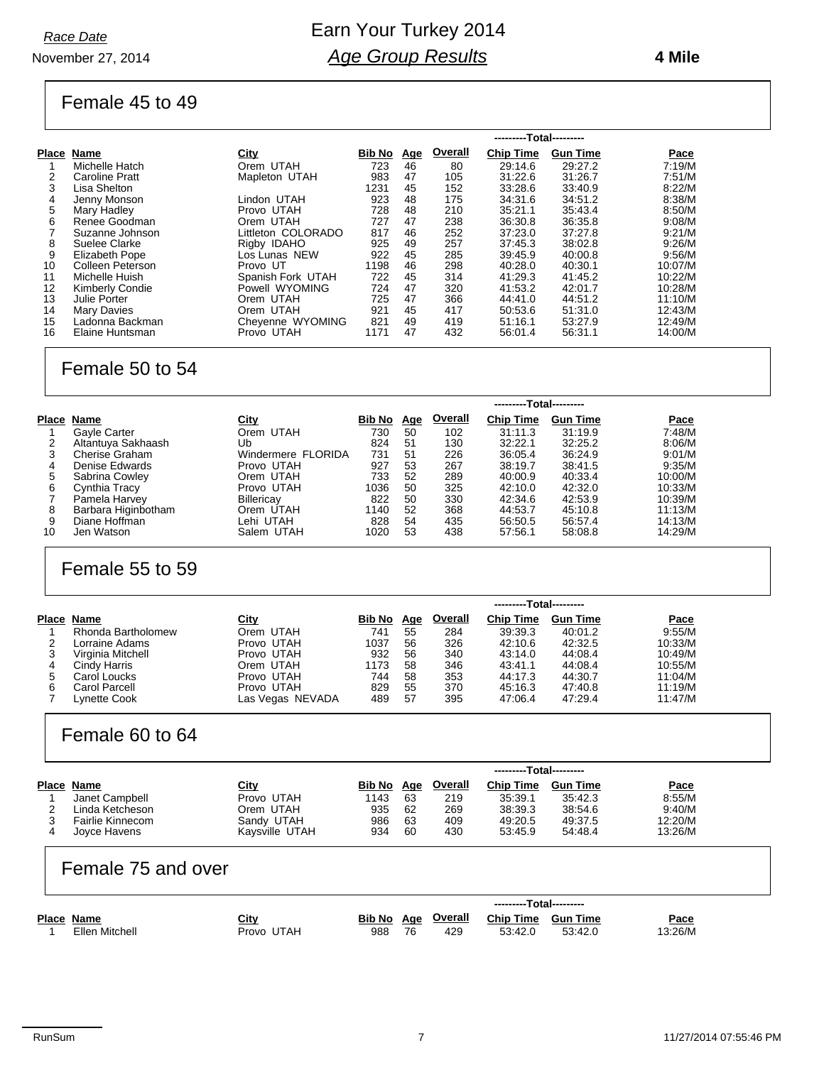November 27, 2014

### Earn Your Turkey 2014 *Age Group Results*

#### **4 Mile**

#### Female 45 to 49

|              |                       |                    | ---------Total--------- |            |         |                  |                 |         |  |  |  |
|--------------|-----------------------|--------------------|-------------------------|------------|---------|------------------|-----------------|---------|--|--|--|
| <b>Place</b> | Name                  | City               | Bib No                  | <u>Age</u> | Overall | <b>Chip Time</b> | <b>Gun Time</b> | Pace    |  |  |  |
|              | Michelle Hatch        | Orem UTAH          | 723                     | 46         | 80      | 29:14.6          | 29:27.2         | 7:19/M  |  |  |  |
| 2            | <b>Caroline Pratt</b> | Mapleton UTAH      | 983                     | 47         | 105     | 31:22.6          | 31:26.7         | 7:51/M  |  |  |  |
| 3            | Lisa Shelton          |                    | 1231                    | 45         | 152     | 33:28.6          | 33:40.9         | 8:22/M  |  |  |  |
| 4            | Jenny Monson          | Lindon UTAH        | 923                     | 48         | 175     | 34:31.6          | 34:51.2         | 8:38/M  |  |  |  |
| 5            | Mary Hadley           | Provo UTAH         | 728                     | 48         | 210     | 35:21.1          | 35:43.4         | 8:50/M  |  |  |  |
| 6            | Renee Goodman         | Orem UTAH          | 727                     | 47         | 238     | 36:30.8          | 36:35.8         | 9:08/M  |  |  |  |
|              | Suzanne Johnson       | Littleton COLORADO | 817                     | 46         | 252     | 37:23.0          | 37:27.8         | 9:21/M  |  |  |  |
| 8            | Suelee Clarke         | Rigby IDAHO        | 925                     | 49         | 257     | 37:45.3          | 38:02.8         | 9:26/M  |  |  |  |
| 9            | Elizabeth Pope        | Los Lunas NEW      | 922                     | 45         | 285     | 39:45.9          | 40:00.8         | 9:56/M  |  |  |  |
| 10           | Colleen Peterson      | Provo UT           | 1198                    | 46         | 298     | 40:28.0          | 40:30.1         | 10:07/M |  |  |  |
| 11           | Michelle Huish        | Spanish Fork UTAH  | 722                     | 45         | 314     | 41:29.3          | 41:45.2         | 10:22/M |  |  |  |
| 12           | Kimberly Condie       | Powell WYOMING     | 724                     | 47         | 320     | 41:53.2          | 42:01.7         | 10:28/M |  |  |  |
| 13           | Julie Porter          | Orem UTAH          | 725                     | 47         | 366     | 44:41.0          | 44:51.2         | 11:10/M |  |  |  |
| 14           | <b>Mary Davies</b>    | Orem UTAH          | 921                     | 45         | 417     | 50:53.6          | 51:31.0         | 12:43/M |  |  |  |
| 15           | Ladonna Backman       | Cheyenne WYOMING   | 821                     | 49         | 419     | 51:16.1          | 53:27.9         | 12:49/M |  |  |  |
| 16           | Elaine Huntsman       | Provo UTAH         | 1171                    | 47         | 432     | 56:01.4          | 56:31.1         | 14:00/M |  |  |  |

#### Female 50 to 54

|       |                       |                    | ---------Total--------- |            |         |                  |                 |         |
|-------|-----------------------|--------------------|-------------------------|------------|---------|------------------|-----------------|---------|
| Place | Name                  | <u>City</u>        | Bib No                  | <u>Age</u> | Overall | <b>Chip Time</b> | <b>Gun Time</b> | Pace    |
|       | Gayle Carter          | Orem UTAH          | 730                     | 50         | 102     | 31:11.3          | 31:19.9         | 7:48/M  |
|       | Altantuya Sakhaash    | Ub                 | 824                     | 51         | 130     | 32:22.1          | 32:25.2         | 8:06/M  |
| 3     | <b>Cherise Graham</b> | Windermere FLORIDA | 731                     | 51         | 226     | 36:05.4          | 36:24.9         | 9:01/M  |
| 4     | Denise Edwards        | Provo UTAH         | 927                     | 53         | 267     | 38:19.7          | 38:41.5         | 9:35/M  |
| 5     | Sabrina Cowley        | Orem UTAH          | 733                     | 52         | 289     | 40:00.9          | 40:33.4         | 10:00/M |
| 6     | Cynthia Tracy         | Provo UTAH         | 1036                    | 50         | 325     | 42:10.0          | 42:32.0         | 10:33/M |
|       | Pamela Harvey         | Billericav         | 822                     | 50         | 330     | 42:34.6          | 42:53.9         | 10:39/M |
| 8     | Barbara Higinbotham   | Orem UTAH          | 1140                    | 52         | 368     | 44:53.7          | 45:10.8         | 11:13/M |
| 9     | Diane Hoffman         | Lehi UTAH          | 828                     | 54         | 435     | 56.50.5          | 56:57.4         | 14:13/M |
| 10    | Jen Watson            | Salem UTAH         | 1020                    | 53         | 438     | 57:56.1          | 58:08.8         | 14:29/M |

#### Female 55 to 59

|   |                    |                  | ---------Total--------- |            |                |                  |                 |         |  |
|---|--------------------|------------------|-------------------------|------------|----------------|------------------|-----------------|---------|--|
|   | Place Name         | <u>City</u>      | Bib No                  | <u>Age</u> | <b>Overall</b> | <b>Chip Time</b> | <b>Gun Time</b> | Pace    |  |
|   | Rhonda Bartholomew | Orem UTAH        | 741                     | 55         | 284            | 39:39.3          | 40:01.2         | 9:55/M  |  |
|   | Lorraine Adams     | Provo UTAH       | 1037                    | 56         | 326            | 42:10.6          | 42:32.5         | 10:33/M |  |
|   | Virginia Mitchell  | Provo UTAH       | 932                     | 56         | 340            | 43:14.0          | 44:08.4         | 10:49/M |  |
|   | Cindy Harris       | Orem UTAH        | 1173                    | 58         | 346            | 43:41.1          | 44:08.4         | 10:55/M |  |
|   | Carol Loucks       | Provo UTAH       | 744                     | 58         | 353            | 44:17.3          | 44:30.7         | 11:04/M |  |
| 6 | Carol Parcell      | Provo UTAH       | 829                     | 55         | 370            | 45:16.3          | 47:40.8         | 11:19/M |  |
|   | Lynette Cook       | Las Vegas NEVADA | 489                     | -57        | 395            | 47:06.4          | 47:29.4         | 11:47/M |  |

#### Female 60 to 64

|                  |                |        | ---------Total--------- |         |                  |                 |             |  |  |  |
|------------------|----------------|--------|-------------------------|---------|------------------|-----------------|-------------|--|--|--|
| Place Name       | <u>City</u>    | Bib No | Age                     | Overall | <b>Chip Time</b> | <b>Gun Time</b> | <b>Pace</b> |  |  |  |
| Janet Campbell   | Provo UTAH     | 1143   | 63                      | 219     | 35:39.1          | 35:42.3         | 8:55/M      |  |  |  |
| Linda Ketcheson  | Orem UTAH      | 935    | 62                      | 269     | 38:39.3          | 38:54.6         | 9:40/M      |  |  |  |
| Fairlie Kinnecom | Sandy UTAH     | 986    | 63                      | 409     | 49:20.5          | 49:37.5         | 12:20/M     |  |  |  |
| Joyce Havens     | Kavsville UTAH | 934    | 60                      | 430     | 53:45.9          | 54:48.4         | 13:26/M     |  |  |  |

#### Female 75 and over

|            |                |            | ---------Total--------- |    |             |                  |                 |             |  |  |
|------------|----------------|------------|-------------------------|----|-------------|------------------|-----------------|-------------|--|--|
| Place Name |                | City       | Bib No                  |    | Age Overall | <b>Chip Time</b> | <b>Gun Time</b> | <b>Pace</b> |  |  |
|            | Ellen Mitchell | Provo UTAH | 988                     | 76 | 429         | 53:42.0          | 53:42.0         | '3:26/M     |  |  |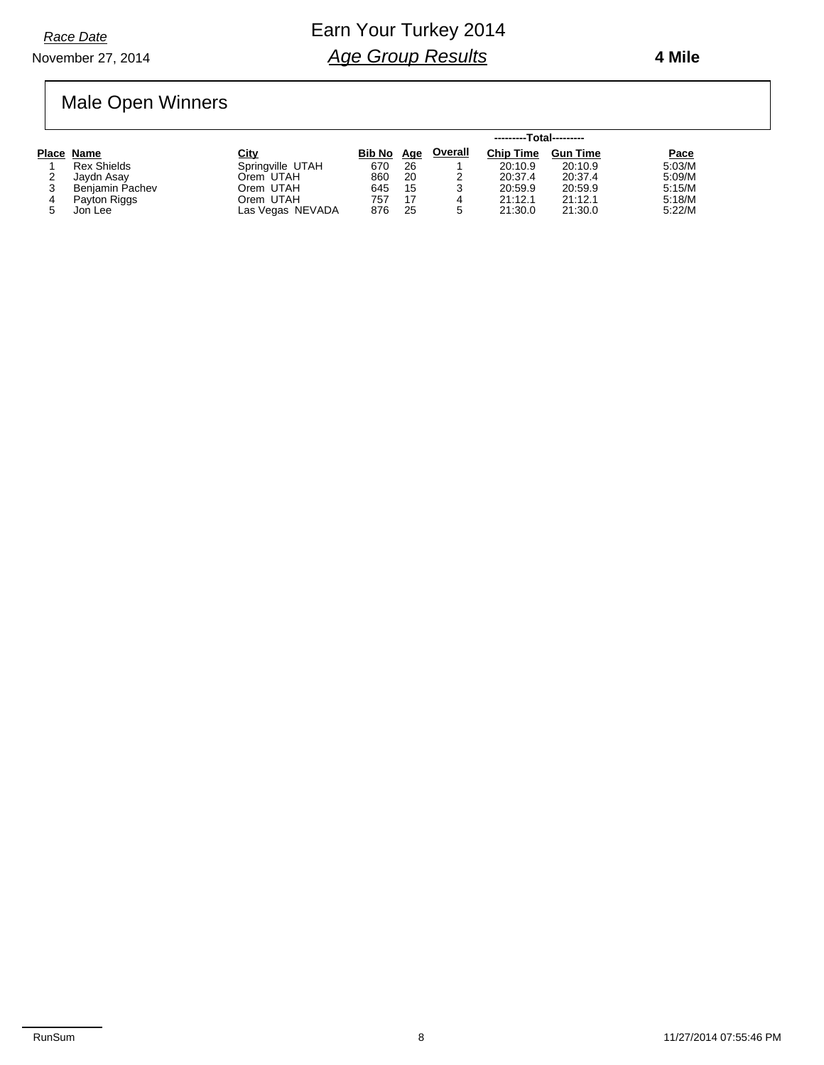**4 Mile**

### Male Open Winners

|   |                    |                  |            |    | ---------Total--------- |                  |                 |        |
|---|--------------------|------------------|------------|----|-------------------------|------------------|-----------------|--------|
|   | Place Name         | City             | Bib No Age |    | <b>Overall</b>          | <b>Chip Time</b> | <b>Gun Time</b> | Pace   |
|   | <b>Rex Shields</b> | Springville UTAH | 670        | 26 |                         | 20:10.9          | 20:10.9         | 5:03/M |
| ∠ | Javdn Asav         | Orem UTAH        | 860        | 20 |                         | 20:37.4          | 20:37.4         | 5:09/M |
|   | Benjamin Pachev    | Orem UTAH        | 645        | 15 | 3                       | 20:59.9          | 20:59.9         | 5:15/M |
| 4 | Payton Riggs       | Orem UTAH        | 757        | 17 | 4                       | 21:12.1          | 21:12.1         | 5:18/M |
|   | Jon Lee            | Las Vegas NEVADA | 876        | 25 | 5                       | 21:30.0          | 21:30.0         | 5:22/M |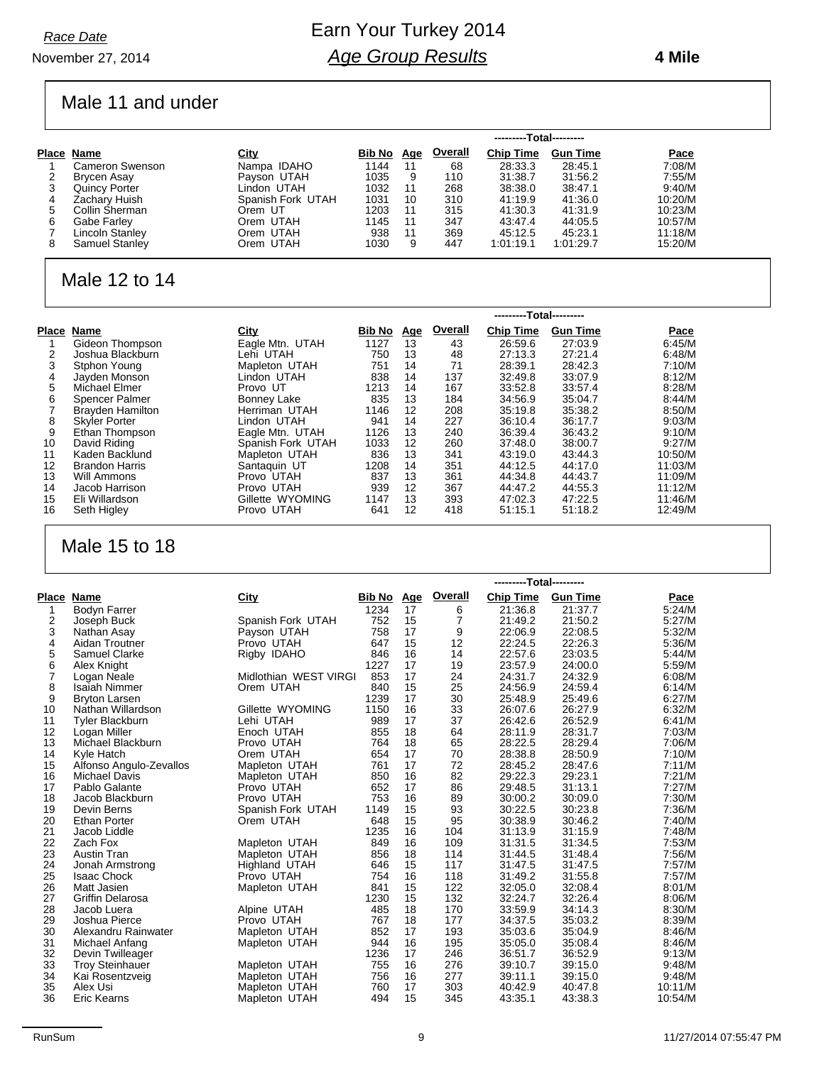#### November 27, 2014 *Race Date*

### Earn Your Turkey 2014 *Age Group Results*

#### **4 Mile**

### Male 11 and under

|   |                       |                   |        |            |                | ---------Total--------- |                 |         |
|---|-----------------------|-------------------|--------|------------|----------------|-------------------------|-----------------|---------|
|   | Place Name            | City              | Bib No | <u>Age</u> | <b>Overall</b> | <b>Chip Time</b>        | <b>Gun Time</b> | Pace    |
|   | Cameron Swenson       | Nampa IDAHO       | 1144   | 11         | 68             | 28:33.3                 | 28:45.1         | 7:08/M  |
|   | Brycen Asay           | Payson UTAH       | 1035   | 9          | 110            | 31:38.7                 | 31:56.2         | 7:55/M  |
| 3 | <b>Quincy Porter</b>  | Lindon UTAH       | 1032   | 11         | 268            | 38:38.0                 | 38:47.1         | 9:40/M  |
| 4 | Zachary Huish         | Spanish Fork UTAH | 1031   | 10         | 310            | 41:19.9                 | 41:36.0         | 10:20/M |
| 5 | Collin Sherman        | Orem UT           | 1203   | 11         | 315            | 41:30.3                 | 41:31.9         | 10:23/M |
| 6 | Gabe Farley           | Orem UTAH         | 1145   | 11         | 347            | 43:47.4                 | 44:05.5         | 10:57/M |
|   | Lincoln Stanley       | Orem UTAH         | 938    | 11         | 369            | 45:12.5                 | 45:23.1         | 11:18/M |
| 8 | <b>Samuel Stanley</b> | Orem UTAH         | 1030   | 9          | 447            | 1:01:19.1               | 1:01:29.7       | 15:20/M |

### Male 12 to 14

|       |                         |                   |               | ---------Total--------- |         |                  |                 |         |  |  |
|-------|-------------------------|-------------------|---------------|-------------------------|---------|------------------|-----------------|---------|--|--|
| Place | Name                    | <u>City</u>       | <b>Bib No</b> | <u>Age</u>              | Overall | <b>Chip Time</b> | <b>Gun Time</b> | Pace    |  |  |
|       | Gideon Thompson         | Eagle Mtn. UTAH   | 1127          | 13                      | 43      | 26:59.6          | 27:03.9         | 6:45/M  |  |  |
| 2     | Joshua Blackburn        | Lehi UTAH         | 750           | 13                      | 48      | 27:13.3          | 27:21.4         | 6:48/M  |  |  |
|       | Stphon Young            | Mapleton UTAH     | 751           | 14                      | 71      | 28:39.1          | 28:42.3         | 7:10/M  |  |  |
| 4     | Jayden Monson           | Lindon UTAH       | 838           | 14                      | 137     | 32:49.8          | 33:07.9         | 8:12/M  |  |  |
| 5     | Michael Elmer           | Provo UT          | 1213          | 14                      | 167     | 33:52.8          | 33:57.4         | 8:28/M  |  |  |
| 6     | Spencer Palmer          | Bonney Lake       | 835           | 13                      | 184     | 34:56.9          | 35:04.7         | 8:44/M  |  |  |
|       | <b>Brayden Hamilton</b> | Herriman UTAH     | 1146          | 12                      | 208     | 35:19.8          | 35:38.2         | 8:50/M  |  |  |
| 8     | <b>Skyler Porter</b>    | Lindon UTAH       | 941           | 14                      | 227     | 36:10.4          | 36:17.7         | 9:03/M  |  |  |
| 9     | Ethan Thompson          | Eagle Mtn. UTAH   | 1126          | 13                      | 240     | 36:39.4          | 36:43.2         | 9:10/M  |  |  |
| 10    | David Riding            | Spanish Fork UTAH | 1033          | $12 \overline{ }$       | 260     | 37:48.0          | 38:00.7         | 9:27/M  |  |  |
| 11    | Kaden Backlund          | Mapleton UTAH     | 836           | 13                      | 341     | 43:19.0          | 43:44.3         | 10:50/M |  |  |
| 12    | <b>Brandon Harris</b>   | Santaquin UT      | 1208          | 14                      | 351     | 44:12.5          | 44:17.0         | 11:03/M |  |  |
| 13    | Will Ammons             | Provo UTAH        | 837           | 13                      | 361     | 44:34.8          | 44:43.7         | 11:09/M |  |  |
| 14    | Jacob Harrison          | Provo UTAH        | 939           | 12                      | 367     | 44:47.2          | 44:55.3         | 11:12/M |  |  |
| 15    | Eli Willardson          | Gillette WYOMING  | 1147          | 13                      | 393     | 47:02.3          | 47:22.5         | 11:46/M |  |  |
| 16    | Seth Higley             | Provo UTAH        | 641           | 12                      | 418     | 51:15.1          | 51:18.2         | 12:49/M |  |  |

### Male 15 to 18

|                |                         |                       |        |            |                | ---------Total--------- |                 |         |
|----------------|-------------------------|-----------------------|--------|------------|----------------|-------------------------|-----------------|---------|
| Place          | <b>Name</b>             | City                  | Bib No | <u>Age</u> | <b>Overall</b> | <b>Chip Time</b>        | <b>Gun Time</b> | Pace    |
| 1              | <b>Bodyn Farrer</b>     |                       | 1234   | 17         | 6              | 21:36.8                 | 21:37.7         | 5:24/M  |
| 2              | Joseph Buck             | Spanish Fork UTAH     | 752    | 15         | 7              | 21:49.2                 | 21:50.2         | 5:27/M  |
| 3              | Nathan Asay             | Payson UTAH           | 758    | 17         | 9              | 22:06.9                 | 22:08.5         | 5:32/M  |
| 4              | Aidan Troutner          | Provo UTAH            | 647    | 15         | 12             | 22:24.5                 | 22:26.3         | 5:36/M  |
| 5              | Samuel Clarke           | Rigby IDAHO           | 846    | 16         | 14             | 22:57.6                 | 23:03.5         | 5:44/M  |
| 6              | Alex Knight             |                       | 1227   | 17         | 19             | 23:57.9                 | 24:00.0         | 5:59/M  |
| $\overline{7}$ | Logan Neale             | Midlothian WEST VIRGI | 853    | 17         | 24             | 24:31.7                 | 24:32.9         | 6:08/M  |
| 8              | <b>Isaiah Nimmer</b>    | Orem UTAH             | 840    | 15         | 25             | 24:56.9                 | 24:59.4         | 6:14/M  |
| 9              | <b>Bryton Larsen</b>    |                       | 1239   | 17         | 30             | 25:48.9                 | 25:49.6         | 6:27/M  |
| 10             | Nathan Willardson       | Gillette WYOMING      | 1150   | 16         | 33             | 26:07.6                 | 26:27.9         | 6:32/M  |
| 11             | <b>Tyler Blackburn</b>  | Lehi UTAH             | 989    | 17         | 37             | 26:42.6                 | 26:52.9         | 6:41/M  |
| 12             | Logan Miller            | Enoch UTAH            | 855    | 18         | 64             | 28:11.9                 | 28:31.7         | 7:03/M  |
| 13             | Michael Blackburn       | Provo UTAH            | 764    | 18         | 65             | 28:22.5                 | 28:29.4         | 7:06/M  |
| 14             | Kyle Hatch              | Orem UTAH             | 654    | 17         | 70             | 28:38.8                 | 28:50.9         | 7:10/M  |
| 15             | Alfonso Angulo-Zevallos | Mapleton UTAH         | 761    | 17         | 72             | 28:45.2                 | 28:47.6         | 7:11/M  |
| 16             | <b>Michael Davis</b>    | Mapleton UTAH         | 850    | 16         | 82             | 29:22.3                 | 29:23.1         | 7:21/M  |
| 17             | Pablo Galante           | Provo UTAH            | 652    | 17         | 86             | 29:48.5                 | 31:13.1         | 7:27/M  |
| 18             | Jacob Blackburn         | Provo UTAH            | 753    | 16         | 89             | 30:00.2                 | 30:09.0         | 7:30/M  |
| 19             | Devin Berns             | Spanish Fork UTAH     | 1149   | 15         | 93             | 30:22.5                 | 30:23.8         | 7:36/M  |
| 20             | <b>Ethan Porter</b>     | Orem UTAH             | 648    | 15         | 95             | 30:38.9                 | 30:46.2         | 7:40/M  |
| 21             | Jacob Liddle            |                       | 1235   | 16         | 104            | 31:13.9                 | 31:15.9         | 7:48/M  |
| 22             | Zach Fox                | Mapleton UTAH         | 849    | 16         | 109            | 31:31.5                 | 31:34.5         | 7:53/M  |
| 23             | Austin Tran             | Mapleton UTAH         | 856    | 18         | 114            | 31:44.5                 | 31:48.4         | 7:56/M  |
| 24             | Jonah Armstrong         | Highland UTAH         | 646    | 15         | 117            | 31:47.5                 | 31:47.5         | 7:57/M  |
| 25             | <b>Isaac Chock</b>      | Provo UTAH            | 754    | 16         | 118            | 31:49.2                 | 31:55.8         | 7:57/M  |
| 26             | Matt Jasien             | Mapleton UTAH         | 841    | 15         | 122            | 32:05.0                 | 32:08.4         | 8:01/M  |
| 27             | <b>Griffin Delarosa</b> |                       | 1230   | 15         | 132            | 32:24.7                 | 32:26.4         | 8:06/M  |
| 28             | Jacob Luera             | Alpine UTAH           | 485    | 18         | 170            | 33:59.9                 | 34:14.3         | 8:30/M  |
| 29             | Joshua Pierce           | Provo UTAH            | 767    | 18         | 177            | 34:37.5                 | 35:03.2         | 8:39/M  |
| 30             | Alexandru Rainwater     | Mapleton UTAH         | 852    | 17         | 193            | 35:03.6                 | 35:04.9         | 8:46/M  |
| 31             | Michael Anfang          | Mapleton UTAH         | 944    | 16         | 195            | 35:05.0                 | 35:08.4         | 8:46/M  |
| 32             | Devin Twilleager        |                       | 1236   | 17         | 246            | 36:51.7                 | 36:52.9         | 9:13/M  |
| 33             | <b>Troy Steinhauer</b>  | Mapleton UTAH         | 755    | 16         | 276            | 39:10.7                 | 39:15.0         | 9:48/M  |
| 34             | Kai Rosentzveig         | Mapleton UTAH         | 756    | 16         | 277            | 39:11.1                 | 39:15.0         | 9:48/M  |
| 35             | Alex Usi                | Mapleton UTAH         | 760    | 17         | 303            | 40:42.9                 | 40.47.8         | 10:11/M |
| 36             | <b>Eric Kearns</b>      | Mapleton UTAH         | 494    | 15         | 345            | 43:35.1                 | 43:38.3         | 10:54/M |
|                |                         |                       |        |            |                |                         |                 |         |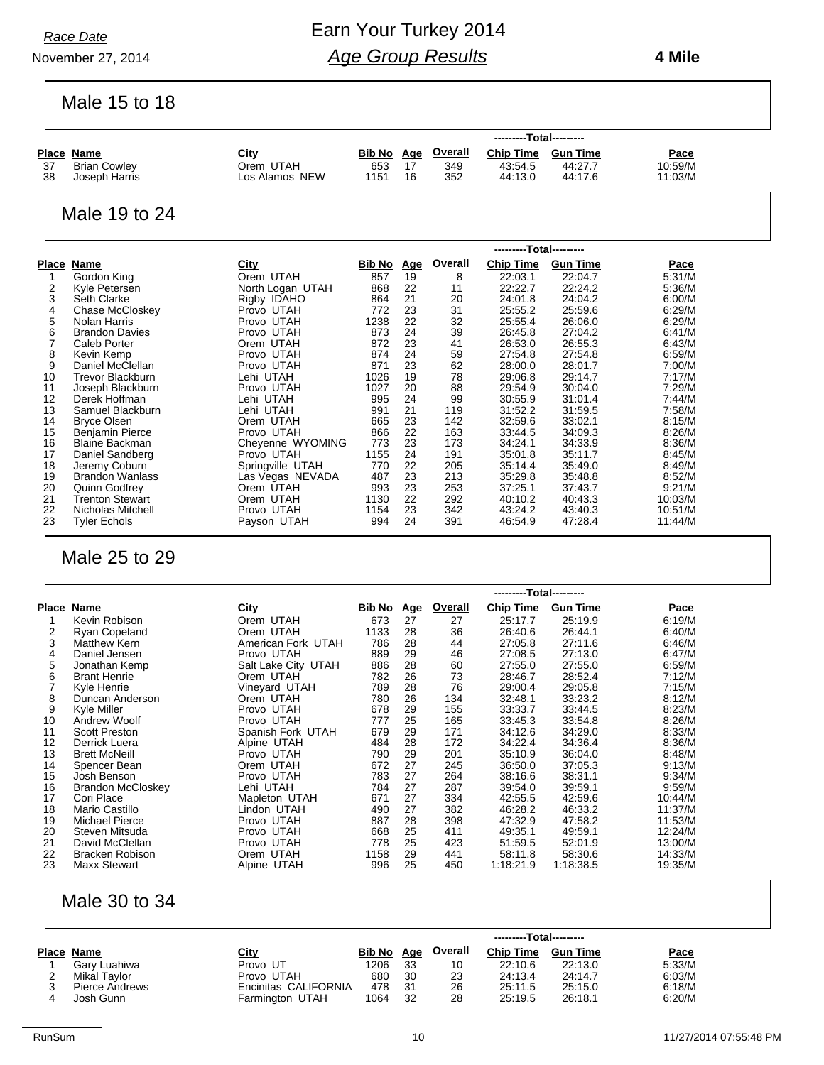November 27, 2014

Earn Your Turkey 2014 *Age Group Results*

 **4 Mile**

Male 15 to 18

|                |                                              |                                 |                   |          |                | ---------Total---------   |                      |                    |
|----------------|----------------------------------------------|---------------------------------|-------------------|----------|----------------|---------------------------|----------------------|--------------------|
|                | <b>Place Name</b>                            | <u>City</u>                     | <u>Bib No Age</u> |          | Overall        | <b>Chip Time</b>          | <b>Gun Time</b>      | <u>Pace</u>        |
| 37             | <b>Brian Cowley</b>                          | Orem UTAH                       | 653               | 17       | 349            | 43:54.5                   | 44:27.7              | 10:59/M            |
| 38             | Joseph Harris                                | Los Alamos NEW                  | 1151              | 16       | 352            | 44:13.0                   | 44:17.6              | 11:03/M            |
|                |                                              |                                 |                   |          |                |                           |                      |                    |
|                |                                              |                                 |                   |          |                |                           |                      |                    |
|                | Male 19 to 24                                |                                 |                   |          |                |                           |                      |                    |
|                |                                              |                                 |                   |          |                |                           |                      |                    |
|                |                                              |                                 |                   |          |                |                           |                      |                    |
|                |                                              |                                 |                   |          |                | ---------Total---------   |                      |                    |
|                |                                              | City                            |                   |          | <b>Overall</b> |                           |                      |                    |
|                | <b>Place Name</b>                            |                                 | <b>Bib No Age</b> |          |                | <b>Chip Time</b>          | <b>Gun Time</b>      | <u>Pace</u>        |
| 1<br>2         | Gordon King<br>Kyle Petersen                 | Orem UTAH<br>North Logan UTAH   | 857<br>868        | 19<br>22 | 8<br>11        | 22:03.1<br>22:22.7        | 22:04.7<br>22:24.2   | 5:31/M<br>5.36/M   |
| 3              | Seth Clarke                                  | Rigby IDAHO                     | 864               | 21       | 20             | 24:01.8                   | 24:04.2              | 6:00/M             |
| 4              | Chase McCloskey                              | Provo UTAH                      | 772               | 23       | 31             | 25:55.2                   | 25:59.6              | 6:29/M             |
| 5              | Nolan Harris                                 | Provo UTAH                      | 1238              | 22       | 32             | 25:55.4                   | 26:06.0              | 6:29/M             |
| 6              | <b>Brandon Davies</b>                        | Provo UTAH                      | 873               | 24       | 39             | 26:45.8                   | 27:04.2              | 6:41/M             |
| 7              | Caleb Porter                                 | Orem UTAH                       | 872               | 23       | 41             | 26:53.0                   | 26:55.3              | 6:43/M             |
| 8              | Kevin Kemp                                   | Provo UTAH                      | 874               | 24       | 59             | 27:54.8                   | 27:54.8              | 6:59/M             |
| 9              | Daniel McClellan                             | Provo UTAH                      | 871               | 23       | 62             | 28:00.0                   | 28:01.7              | 7:00/M             |
| 10             | <b>Trevor Blackburn</b>                      | Lehi UTAH                       | 1026              | 19       | 78             | 29:06.8                   | 29:14.7              | 7:17/M             |
| 11             | Joseph Blackburn                             | Provo UTAH                      | 1027              | 20       | 88             | 29:54.9                   | 30:04.0              | 7:29/M             |
| 12             | Derek Hoffman                                | Lehi UTAH                       | 995               | 24       | 99             | 30:55.9                   | 31:01.4              | 7:44/M             |
| 13             | Samuel Blackburn                             | Lehi UTAH                       | 991               | 21       | 119            | 31:52.2                   | 31:59.5              | 7:58/M             |
| 14<br>15       | <b>Bryce Olsen</b><br><b>Benjamin Pierce</b> | Orem UTAH<br>Provo UTAH         | 665<br>866        | 23<br>22 | 142<br>163     | 32:59.6<br>33:44.5        | 33:02.1<br>34:09.3   | 8:15/M<br>8:26/M   |
| 16             | <b>Blaine Backman</b>                        | Cheyenne WYOMING                | 773               | 23       | 173            | 34:24.1                   | 34:33.9              | 8:36/M             |
| 17             | Daniel Sandberg                              | Provo UTAH                      | 1155              | 24       | 191            | 35:01.8                   | 35:11.7              | 8:45/M             |
| 18             | Jeremy Coburn                                | Springville UTAH                | 770               | 22       | 205            | 35:14.4                   | 35:49.0              | 8:49/M             |
| 19             | <b>Brandon Wanlass</b>                       | Las Vegas NEVADA                | 487               | 23       | 213            | 35:29.8                   | 35:48.8              | 8:52/M             |
| 20             | <b>Quinn Godfrey</b>                         | Orem UTAH                       | 993               | 23       | 253            | 37:25.1                   | 37:43.7              | 9:21/M             |
| 21             | <b>Trenton Stewart</b>                       | Orem UTAH                       | 1130              | 22       | 292            | 40:10.2                   | 40:43.3              | 10:03/M            |
| 22             | Nicholas Mitchell                            | Provo UTAH                      | 1154              | 23       | 342            | 43:24.2                   | 43:40.3              | 10:51/M            |
| 23             | <b>Tyler Echols</b>                          | Payson UTAH                     | 994               | 24       | 391            | 46:54.9                   | 47:28.4              | 11:44/M            |
|                |                                              |                                 |                   |          |                |                           |                      |                    |
|                |                                              |                                 |                   |          |                |                           |                      |                    |
|                |                                              |                                 |                   |          |                |                           |                      |                    |
|                | Male 25 to 29                                |                                 |                   |          |                |                           |                      |                    |
|                |                                              |                                 |                   |          |                |                           |                      |                    |
|                |                                              |                                 |                   |          |                | ---------Total---------   |                      |                    |
|                |                                              |                                 |                   |          |                |                           |                      |                    |
|                | <b>Place Name</b>                            | <b>City</b>                     | <b>Bib No</b> Age |          | <b>Overall</b> | <b>Chip Time Gun Time</b> |                      | <u>Pace</u>        |
| 1              | Kevin Robison                                | Orem UTAH                       | 673               | 27       | 27             | 25:17.7                   | 25:19.9              | 6:19/M             |
| 2<br>3         | Ryan Copeland<br><b>Matthew Kern</b>         | Orem UTAH<br>American Fork UTAH | 1133<br>786       | 28<br>28 | 36<br>44       | 26:40.6<br>27:05.8        | 26:44.1<br>27:11.6   | 6:40/M<br>6:46/M   |
| $\overline{4}$ | Daniel Jensen                                | Provo UTAH                      | 889               | 29       | 46             | 27:08.5                   | 27:13.0              | 6:47/M             |
| 5              | Jonathan Kemp                                | Salt Lake City UTAH             | 886               | 28       | 60             | 27:55.0                   | 27:55.0              | 6:59/M             |
| 6              | <b>Brant Henrie</b>                          | Orem UTAH                       | 782               | 26       | 73             | 28:46.7                   | 28:52.4              | 7:12/M             |
| 7              | Kyle Henrie                                  | Vineyard UTAH                   | 789               | 28       | 76             | 29:00.4                   | 29:05.8              | 7:15/M             |
| 8              | Duncan Anderson                              | Orem UTAH                       | 780               | 26       | 134            | 32:48.1                   | 33:23.2              | 8:12/M             |
| 9              | Kyle Miller                                  | Provo UTAH                      | 678               | 29       | 155            | 33:33.7                   | 33:44.5              | 8:23/M             |
| 10             | Andrew Woolf                                 | Provo UTAH                      | 777               | 25       | 165            | 33:45.3                   | 33:54.8              | 8:26/M             |
| 11             | <b>Scott Preston</b>                         | Spanish Fork UTAH               | 679               | 29       | 171            | 34:12.6                   | 34:29.0              | 8:33/M             |
| 12             | Derrick Luera                                | Alpine UTAH                     | 484               | 28       | 172            | 34:22.4                   | 34:36.4              | 8:36/M             |
| 13             | <b>Brett McNeill</b>                         | Provo UTAH                      | 790               | 29       | 201            | 35:10.9                   | 36:04.0              | 8:48/M             |
| 14<br>15       | Spencer Bean<br>Josh Benson                  | Orem UTAH                       | 672<br>783        | 27<br>27 | 245<br>264     | 36:50.0<br>38:16.6        | 37:05.3<br>38.31.1   | 9:13/M<br>9:34/M   |
| 16             | <b>Brandon McCloskey</b>                     | Provo UTAH<br>Lehi UTAH         | 784               | 27       | 287            | 39:54.0                   | 39:59.1              | 9:59/M             |
| 17             | Cori Place                                   | Mapleton UTAH                   | 671               | 27       | 334            | 42:55.5                   | 42:59.6              | 10:44/M            |
| 18             | Mario Castillo                               | Lindon UTAH                     | 490               | 27       | 382            | 46:28.2                   | 46:33.2              | 11:37/M            |
| 19             | Michael Pierce                               | Provo UTAH                      | 887               | 28       | 398            | 47:32.9                   | 47:58.2              | 11:53/M            |
| 20             | Steven Mitsuda                               | Provo UTAH                      | 668               | 25       | 411            | 49:35.1                   | 49:59.1              | 12:24/M            |
| 21             | David McClellan                              | Provo UTAH                      | 778               | 25       | 423            | 51:59.5                   | 52:01.9              | 13:00/M            |
| 22<br>23       | Bracken Robison<br><b>Maxx Stewart</b>       | Orem UTAH<br>Alpine UTAH        | 1158<br>996       | 29<br>25 | 441<br>450     | 58:11.8<br>1:18:21.9      | 58:30.6<br>1:18:38.5 | 14:33/M<br>19:35/M |

### Male 30 to 34

|                | City                 | Bib No | Age | <b>Overall</b> | <b>Chip Time</b> | <b>Gun Time</b> | Pace                    |  |  |  |
|----------------|----------------------|--------|-----|----------------|------------------|-----------------|-------------------------|--|--|--|
| Gary Luahiwa   | Provo UT             | 1206   | 33  | 10             | 22:10.6          | 22:13.0         | 5:33/M                  |  |  |  |
| Mikal Taylor   | Provo UTAH           | 680    | 30  | 23             | 24:13.4          | 24:14.7         | 6:03/M                  |  |  |  |
| Pierce Andrews | Encinitas CALIFORNIA | 478    | 31  | 26             | 25:11.5          | 25:15.0         | 6:18/M                  |  |  |  |
| Josh Gunn      | Farmington UTAH      | 1064   | 32  | 28             | 25:19.5          | 26:18.1         | 6:20/M                  |  |  |  |
|                | Place Name           |        |     |                |                  |                 | ---------Total--------- |  |  |  |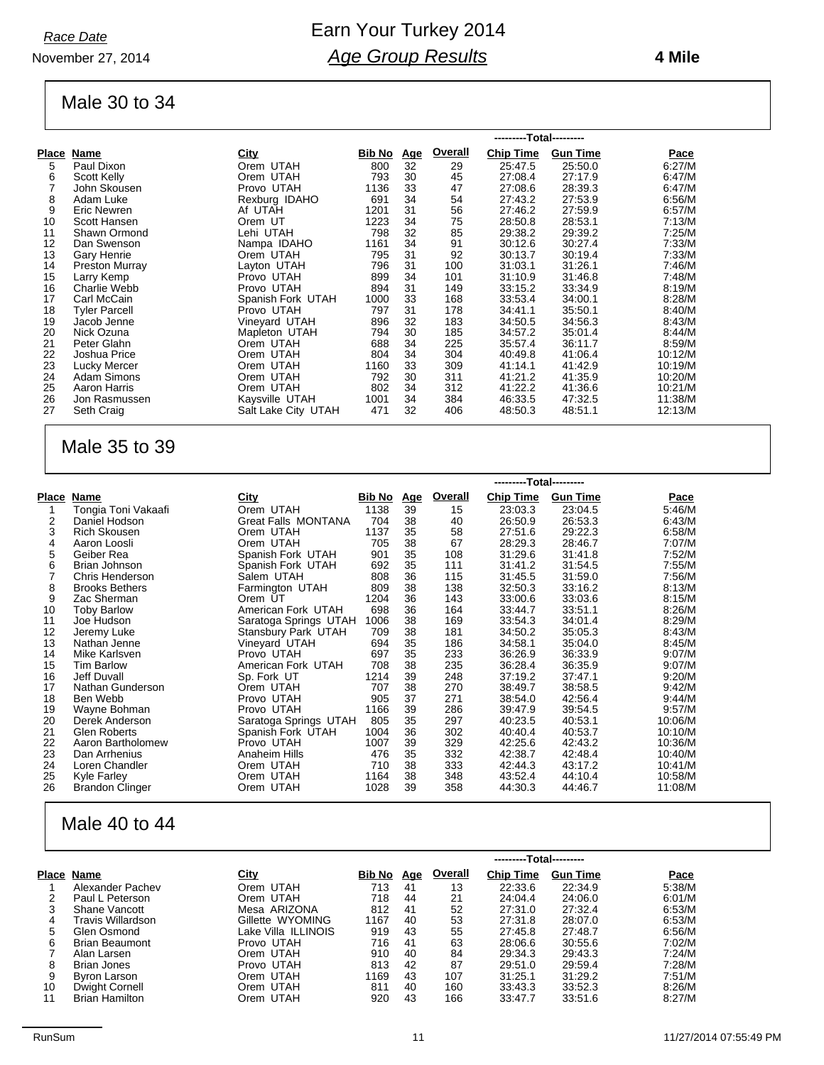November 27, 2014

### Earn Your Turkey 2014 *Age Group Results*

#### **4 Mile**

### Male 30 to 34

|       |                      |                     |        |     |         | ---------Total--------- |                 |         |
|-------|----------------------|---------------------|--------|-----|---------|-------------------------|-----------------|---------|
| Place | <b>Name</b>          | City                | Bib No | Age | Overall | <b>Chip Time</b>        | <b>Gun Time</b> | Pace    |
| 5     | Paul Dixon           | Orem UTAH           | 800    | 32  | 29      | 25:47.5                 | 25:50.0         | 6:27/M  |
| 6     | Scott Kelly          | Orem UTAH           | 793    | 30  | 45      | 27:08.4                 | 27:17.9         | 6:47/M  |
| 7     | John Skousen         | Provo UTAH          | 1136   | 33  | 47      | 27:08.6                 | 28:39.3         | 6:47/M  |
| 8     | Adam Luke            | Rexburg IDAHO       | 691    | 34  | 54      | 27:43.2                 | 27:53.9         | 6:56/M  |
| 9     | Eric Newren          | Af UTAH             | 1201   | 31  | 56      | 27:46.2                 | 27:59.9         | 6:57/M  |
| 10    | Scott Hansen         | Orem UT             | 1223   | 34  | 75      | 28:50.8                 | 28:53.1         | 7:13/M  |
| 11    | Shawn Ormond         | Lehi UTAH           | 798    | 32  | 85      | 29:38.2                 | 29:39.2         | 7:25/M  |
| 12    | Dan Swenson          | Nampa IDAHO         | 1161   | 34  | 91      | 30:12.6                 | 30:27.4         | 7:33/M  |
| 13    | Gary Henrie          | Orem UTAH           | 795    | 31  | 92      | 30:13.7                 | 30:19.4         | 7:33/M  |
| 14    | Preston Murray       | Layton UTAH         | 796    | 31  | 100     | 31:03.1                 | 31:26.1         | 7:46/M  |
| 15    | Larry Kemp           | Provo UTAH          | 899    | 34  | 101     | 31:10.9                 | 31:46.8         | 7:48/M  |
| 16    | Charlie Webb         | Provo UTAH          | 894    | 31  | 149     | 33:15.2                 | 33:34.9         | 8:19/M  |
| 17    | Carl McCain          | Spanish Fork UTAH   | 1000   | 33  | 168     | 33:53.4                 | 34:00.1         | 8:28/M  |
| 18    | <b>Tyler Parcell</b> | Provo UTAH          | 797    | 31  | 178     | 34:41.1                 | 35:50.1         | 8:40/M  |
| 19    | Jacob Jenne          | Vineyard UTAH       | 896    | 32  | 183     | 34:50.5                 | 34:56.3         | 8:43/M  |
| 20    | Nick Ozuna           | Mapleton UTAH       | 794    | 30  | 185     | 34:57.2                 | 35:01.4         | 8:44/M  |
| 21    | Peter Glahn          | Orem UTAH           | 688    | 34  | 225     | 35:57.4                 | 36:11.7         | 8:59/M  |
| 22    | Joshua Price         | Orem UTAH           | 804    | 34  | 304     | 40:49.8                 | 41:06.4         | 10:12/M |
| 23    | Lucky Mercer         | Orem UTAH           | 1160   | 33  | 309     | 41:14.1                 | 41:42.9         | 10:19/M |
| 24    | Adam Simons          | Orem UTAH           | 792    | 30  | 311     | 41:21.2                 | 41:35.9         | 10:20/M |
| 25    | Aaron Harris         | Orem UTAH           | 802    | 34  | 312     | 41:22.2                 | 41:36.6         | 10:21/M |
| 26    | Jon Rasmussen        | Kaysville UTAH      | 1001   | 34  | 384     | 46:33.5                 | 47:32.5         | 11:38/M |
| 27    | Seth Craig           | Salt Lake City UTAH | 471    | 32  | 406     | 48:50.3                 | 48:51.1         | 12:13/M |

### Male 35 to 39

|       |                        |                            |               | ---------Total--------- |                |                  |                 |             |
|-------|------------------------|----------------------------|---------------|-------------------------|----------------|------------------|-----------------|-------------|
| Place | Name                   | City                       | <u>Bib No</u> | <u>Age</u>              | <b>Overall</b> | <b>Chip Time</b> | <b>Gun Time</b> | <u>Pace</u> |
|       | Tongia Toni Vakaafi    | Orem UTAH                  | 1138          | 39                      | 15             | 23:03.3          | 23:04.5         | 5:46/M      |
| 2     | Daniel Hodson          | <b>Great Falls MONTANA</b> | 704           | 38                      | 40             | 26:50.9          | 26:53.3         | 6:43/M      |
| 3     | Rich Skousen           | Orem UTAH                  | 1137          | 35                      | 58             | 27:51.6          | 29:22.3         | 6:58/M      |
| 4     | Aaron Loosli           | Orem UTAH                  | 705           | 38                      | 67             | 28:29.3          | 28:46.7         | 7:07/M      |
| 5     | Geiber Rea             | Spanish Fork UTAH          | 901           | 35                      | 108            | 31:29.6          | 31:41.8         | 7:52/M      |
| 6     | Brian Johnson          | Spanish Fork UTAH          | 692           | 35                      | 111            | 31:41.2          | 31:54.5         | 7:55/M      |
|       | Chris Henderson        | Salem UTAH                 | 808           | 36                      | 115            | 31:45.5          | 31:59.0         | 7:56/M      |
| 8     | <b>Brooks Bethers</b>  | Farmington UTAH            | 809           | 38                      | 138            | 32:50.3          | 33:16.2         | 8:13/M      |
| 9     | Zac Sherman            | Orem UT                    | 1204          | 36                      | 143            | 33:00.6          | 33.03.6         | 8:15/M      |
| 10    | <b>Toby Barlow</b>     | American Fork UTAH         | 698           | 36                      | 164            | 33:44.7          | 33:51.1         | 8:26/M      |
| 11    | Joe Hudson             | Saratoga Springs UTAH      | 1006          | 38                      | 169            | 33:54.3          | 34:01.4         | 8:29/M      |
| 12    | Jeremy Luke            | Stansbury Park UTAH        | 709           | 38                      | 181            | 34:50.2          | 35:05.3         | 8:43/M      |
| 13    | Nathan Jenne           | Vineyard UTAH              | 694           | 35                      | 186            | 34:58.1          | 35:04.0         | 8:45/M      |
| 14    | Mike Karlsven          | Provo UTAH                 | 697           | 35                      | 233            | 36:26.9          | 36:33.9         | 9:07/M      |
| 15    | <b>Tim Barlow</b>      | American Fork UTAH         | 708           | 38                      | 235            | 36:28.4          | 36:35.9         | 9:07/M      |
| 16    | Jeff Duvall            | Sp. Fork UT                | 1214          | 39                      | 248            | 37:19.2          | 37:47.1         | 9:20/M      |
| 17    | Nathan Gunderson       | Orem UTAH                  | 707           | 38                      | 270            | 38:49.7          | 38:58.5         | 9:42/M      |
| 18    | Ben Webb               | Provo UTAH                 | 905           | 37                      | 271            | 38:54.0          | 42:56.4         | 9:44/M      |
| 19    | Wayne Bohman           | Provo UTAH                 | 1166          | 39                      | 286            | 39:47.9          | 39:54.5         | 9:57/M      |
| 20    | Derek Anderson         | Saratoga Springs UTAH      | 805           | 35                      | 297            | 40:23.5          | 40:53.1         | 10:06/M     |
| 21    | <b>Glen Roberts</b>    | Spanish Fork UTAH          | 1004          | 36                      | 302            | 40:40.4          | 40:53.7         | 10:10/M     |
| 22    | Aaron Bartholomew      | Provo UTAH                 | 1007          | 39                      | 329            | 42:25.6          | 42:43.2         | 10:36/M     |
| 23    | Dan Arrhenius          | Anaheim Hills              | 476           | 35                      | 332            | 42:38.7          | 42:48.4         | 10:40/M     |
| 24    | Loren Chandler         | Orem UTAH                  | 710           | 38                      | 333            | 42:44.3          | 43:17.2         | 10:41/M     |
| 25    | Kyle Farley            | Orem UTAH                  | 1164          | 38                      | 348            | 43:52.4          | 44:10.4         | 10:58/M     |
| 26    | <b>Brandon Clinger</b> | Orem UTAH                  | 1028          | 39                      | 358            | 44:30.3          | 44:46.7         | 11:08/M     |

### Male 40 to 44

|       |                       |                     |        |            |         | ---------Total--------- |                 |        |
|-------|-----------------------|---------------------|--------|------------|---------|-------------------------|-----------------|--------|
| Place | Name                  | <b>City</b>         | Bib No | <u>Age</u> | Overall | <b>Chip Time</b>        | <b>Gun Time</b> | Pace   |
|       | Alexander Pachev      | Orem UTAH           | 713    | 41         | 13      | 22:33.6                 | 22:34.9         | 5:38/M |
| 2     | Paul L Peterson       | Orem UTAH           | 718    | 44         | 21      | 24:04.4                 | 24:06.0         | 6:01/M |
| 3     | Shane Vancott         | Mesa ARIZONA        | 812    | 41         | 52      | 27:31.0                 | 27:32.4         | 6.53/M |
| 4     | Travis Willardson     | Gillette WYOMING    | 1167   | 40         | 53      | 27:31.8                 | 28:07.0         | 6.53/M |
| 5     | Glen Osmond           | Lake Villa ILLINOIS | 919    | 43         | 55      | 27:45.8                 | 27:48.7         | 6:56/M |
| 6     | <b>Brian Beaumont</b> | Provo UTAH          | 716    | 41         | 63      | 28:06.6                 | 30:55.6         | 7:02/M |
|       | Alan Larsen           | Orem UTAH           | 910    | 40         | 84      | 29:34.3                 | 29:43.3         | 7:24/M |
| 8     | Brian Jones           | Provo UTAH          | 813    | 42         | 87      | 29:51.0                 | 29:59.4         | 7:28/M |
| 9     | Byron Larson          | Orem UTAH           | 1169   | 43         | 107     | 31:25.1                 | 31:29.2         | 7:51/M |
| 10    | Dwight Cornell        | Orem UTAH           | 811    | 40         | 160     | 33:43.3                 | 33:52.3         | 8:26/M |
| 11    | <b>Brian Hamilton</b> | Orem UTAH           | 920    | 43         | 166     | 33:47.7                 | 33:51.6         | 8:27/M |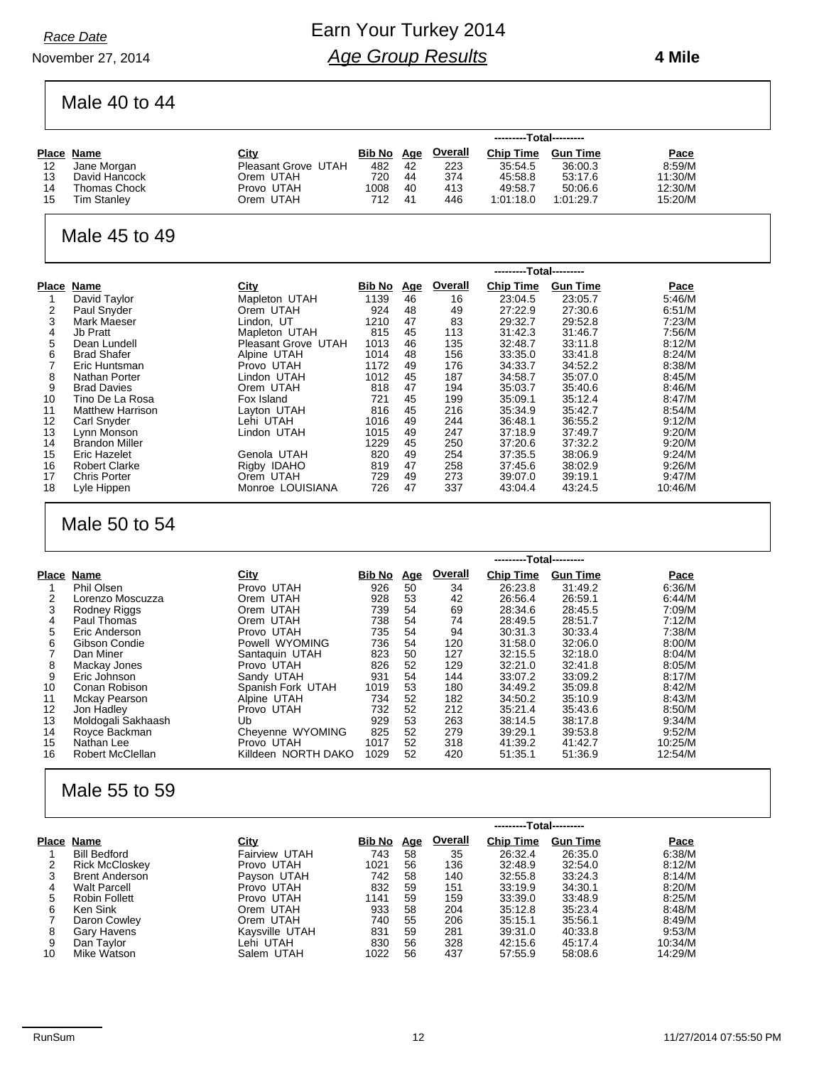November 27, 2014

### Earn Your Turkey 2014 *Age Group Results*

 **4 Mile**

Male 40 to 44

|    |                     |                     |        | ---------Total--------- |                |                  |                 |             |  |
|----|---------------------|---------------------|--------|-------------------------|----------------|------------------|-----------------|-------------|--|
|    | Place Name          | <u>City</u>         | Bib No | <u>Age</u>              | <b>Overall</b> | <b>Chip Time</b> | <b>Gun Time</b> | <b>Pace</b> |  |
| 12 | Jane Morgan         | Pleasant Grove UTAH | 482    | 42                      | 223            | 35:54.5          | 36:00.3         | 8:59/M      |  |
| 13 | David Hancock       | Orem UTAH           | 720    | 44                      | 374            | 45.58.8          | 53:17.6         | 11:30/M     |  |
| 14 | <b>Thomas Chock</b> | Provo UTAH          | 1008   | 40                      | 413            | 49:58.7          | 50:06.6         | 12:30/M     |  |
| 15 | <b>Tim Stanley</b>  | Orem UTAH           | 712    | 41                      | 446            | 1:01:18.0        | 1:01:29.7       | 15:20/M     |  |

#### Male 45 to 49

|       |                         |                     |               | ---------Total--------- |         |                  |                 |         |  |
|-------|-------------------------|---------------------|---------------|-------------------------|---------|------------------|-----------------|---------|--|
| Place | Name                    | City                | <b>Bib No</b> | <u>Age</u>              | Overall | <b>Chip Time</b> | <b>Gun Time</b> | Pace    |  |
|       | David Taylor            | Mapleton UTAH       | 1139          | 46                      | 16      | 23:04.5          | 23:05.7         | 5:46/M  |  |
| 2     | Paul Snyder             | Orem UTAH           | 924           | 48                      | 49      | 27:22.9          | 27:30.6         | 6:51/M  |  |
| 3     | Mark Maeser             | Lindon. UT          | 1210          | 47                      | 83      | 29:32.7          | 29:52.8         | 7:23/M  |  |
| 4     | Jb Pratt                | Mapleton UTAH       | 815           | 45                      | 113     | 31:42.3          | 31:46.7         | 7:56/M  |  |
| 5     | Dean Lundell            | Pleasant Grove UTAH | 1013          | 46                      | 135     | 32:48.7          | 33:11.8         | 8:12/M  |  |
| 6     | <b>Brad Shafer</b>      | Alpine UTAH         | 1014          | 48                      | 156     | 33:35.0          | 33:41.8         | 8:24/M  |  |
|       | Eric Huntsman           | Provo UTAH          | 1172          | 49                      | 176     | 34:33.7          | 34:52.2         | 8:38/M  |  |
| 8     | Nathan Porter           | Lindon UTAH         | 1012          | 45                      | 187     | 34:58.7          | 35:07.0         | 8:45/M  |  |
| 9     | <b>Brad Davies</b>      | Orem UTAH           | 818           | 47                      | 194     | 35:03.7          | 35:40.6         | 8:46/M  |  |
| 10    | Tino De La Rosa         | Fox Island          | 721           | 45                      | 199     | 35:09.1          | 35:12.4         | 8:47/M  |  |
| 11    | <b>Matthew Harrison</b> | Layton UTAH         | 816           | 45                      | 216     | 35:34.9          | 35:42.7         | 8:54/M  |  |
| 12    | Carl Snyder             | Lehi UTAH           | 1016          | 49                      | 244     | 36:48.1          | 36:55.2         | 9:12/M  |  |
| 13    | Lynn Monson             | Lindon UTAH         | 1015          | 49                      | 247     | 37:18.9          | 37:49.7         | 9:20/M  |  |
| 14    | <b>Brandon Miller</b>   |                     | 1229          | 45                      | 250     | 37:20.6          | 37:32.2         | 9:20/M  |  |
| 15    | Eric Hazelet            | Genola UTAH         | 820           | 49                      | 254     | 37:35.5          | 38:06.9         | 9:24/M  |  |
| 16    | <b>Robert Clarke</b>    | Rigby IDAHO         | 819           | 47                      | 258     | 37:45.6          | 38:02.9         | 9:26/M  |  |
| 17    | <b>Chris Porter</b>     | Orem UTAH           | 729           | 49                      | 273     | 39:07.0          | 39:19.1         | 9.47/M  |  |
| 18    | Lyle Hippen             | Monroe LOUISIANA    | 726           | 47                      | 337     | 43:04.4          | 43:24.5         | 10:46/M |  |

### Male 50 to 54

|       |                         |                     |        | ---------Total--------- |         |                  |                 |         |  |  |
|-------|-------------------------|---------------------|--------|-------------------------|---------|------------------|-----------------|---------|--|--|
| Place | Name                    | <b>City</b>         | Bib No | <u>Age</u>              | Overall | <b>Chip Time</b> | <b>Gun Time</b> | Pace    |  |  |
|       | Phil Olsen              | Provo UTAH          | 926    | 50                      | 34      | 26:23.8          | 31:49.2         | 6:36/M  |  |  |
| 2     | Lorenzo Moscuzza        | Orem UTAH           | 928    | 53                      | 42      | 26:56.4          | 26:59.1         | 6:44/M  |  |  |
| 3     | Rodney Riggs            | Orem UTAH           | 739    | 54                      | 69      | 28:34.6          | 28:45.5         | 7:09/M  |  |  |
| 4     | Paul Thomas             | Orem UTAH           | 738    | 54                      | 74      | 28:49.5          | 28:51.7         | 7:12/M  |  |  |
| 5     | Eric Anderson           | Provo UTAH          | 735    | 54                      | 94      | 30:31.3          | 30:33.4         | 7:38/M  |  |  |
| 6     | Gibson Condie           | Powell WYOMING      | 736    | 54                      | 120     | 31:58.0          | 32:06.0         | 8:00/M  |  |  |
|       | Dan Miner               | Santaquin UTAH      | 823    | 50                      | 127     | 32:15.5          | 32:18.0         | 8:04/M  |  |  |
| 8     | Mackay Jones            | Provo UTAH          | 826    | 52                      | 129     | 32:21.0          | 32:41.8         | 8:05/M  |  |  |
| 9     | Eric Johnson            | Sandy UTAH          | 931    | 54                      | 144     | 33:07.2          | 33:09.2         | 8:17/M  |  |  |
| 10    | Conan Robison           | Spanish Fork UTAH   | 1019   | 53                      | 180     | 34:49.2          | 35:09.8         | 8:42/M  |  |  |
| 11    | Mckay Pearson           | Alpine UTAH         | 734    | 52                      | 182     | 34:50.2          | 35:10.9         | 8:43/M  |  |  |
| 12    | Jon Hadley              | Provo UTAH          | 732    | 52                      | 212     | 35:21.4          | 35:43.6         | 8:50/M  |  |  |
| 13    | Moldogali Sakhaash      | Ub                  | 929    | 53                      | 263     | 38:14.5          | 38:17.8         | 9:34/M  |  |  |
| 14    | Royce Backman           | Cheyenne WYOMING    | 825    | 52                      | 279     | 39:29.1          | 39:53.8         | 9:52/M  |  |  |
| 15    | Nathan Lee              | Provo UTAH          | 1017   | 52                      | 318     | 41:39.2          | 41:42.7         | 10:25/M |  |  |
| 16    | <b>Robert McClellan</b> | Killdeen NORTH DAKO | 1029   | 52                      | 420     | 51:35.1          | 51:36.9         | 12:54/M |  |  |

#### Male 55 to 59

|       |                       |                | ---------Total--------- |            |                |                  |                 |         |
|-------|-----------------------|----------------|-------------------------|------------|----------------|------------------|-----------------|---------|
| Place | Name                  | <u>City</u>    | Bib No                  | <u>Age</u> | <b>Overall</b> | <b>Chip Time</b> | <b>Gun Time</b> | Pace    |
|       | <b>Bill Bedford</b>   | Fairview UTAH  | 743                     | 58         | 35             | 26:32.4          | 26:35.0         | 6:38/M  |
| 2     | <b>Rick McCloskey</b> | Provo UTAH     | 1021                    | 56         | 136            | 32:48.9          | 32:54.0         | 8:12/M  |
|       | <b>Brent Anderson</b> | Payson UTAH    | 742                     | 58         | 140            | 32:55.8          | 33:24.3         | 8:14/M  |
| 4     | <b>Walt Parcell</b>   | Provo UTAH     | 832                     | 59         | 151            | 33:19.9          | 34:30.1         | 8:20/M  |
| 5     | Robin Follett         | Provo UTAH     | 1141                    | 59         | 159            | 33:39.0          | 33:48.9         | 8:25/M  |
| 6     | Ken Sink              | Orem UTAH      | 933                     | 58         | 204            | 35:12.8          | 35:23.4         | 8:48/M  |
|       | Daron Cowley          | Orem UTAH      | 740                     | 55         | 206            | 35:15.1          | 35:56.1         | 8:49/M  |
| 8     | Gary Havens           | Kavsville UTAH | 831                     | 59         | 281            | 39:31.0          | 40:33.8         | 9:53/M  |
| 9     | Dan Taylor            | Lehi UTAH      | 830                     | 56         | 328            | 42:15.6          | 45:17.4         | 10:34/M |
| 10    | Mike Watson           | Salem UTAH     | 1022                    | 56         | 437            | 57:55.9          | 58:08.6         | 14:29/M |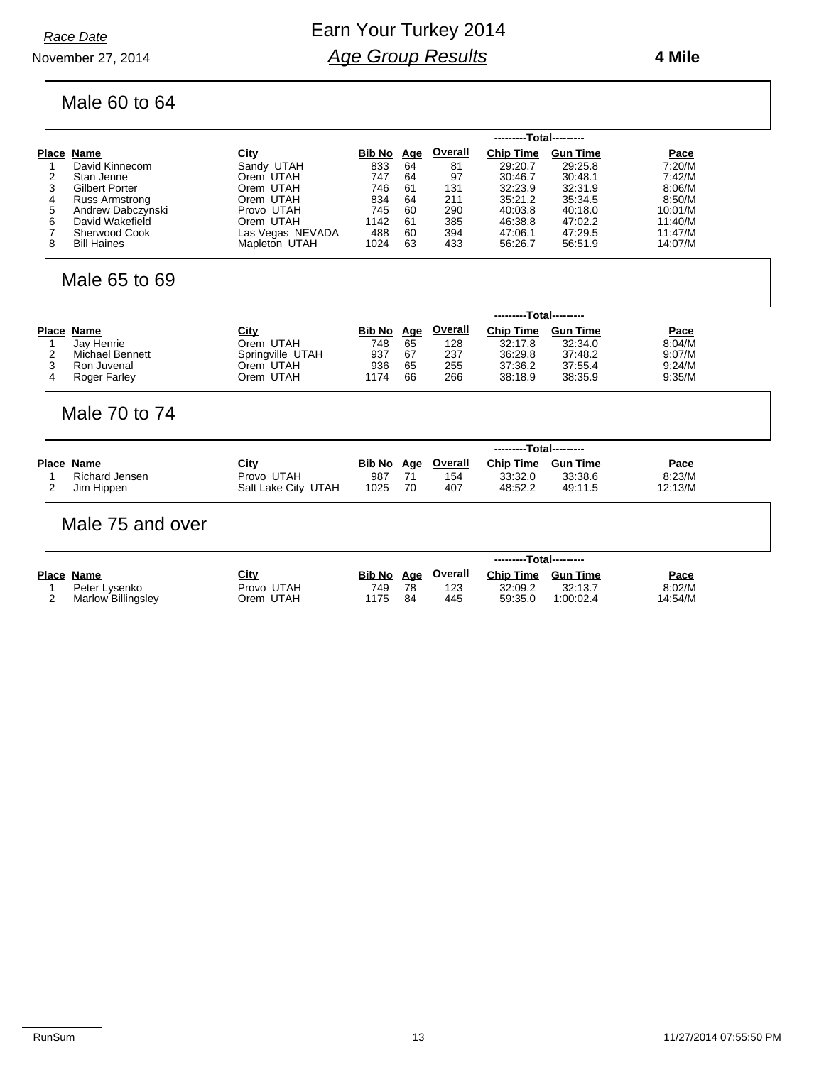November 27, 2014

### Earn Your Turkey 2014 *Age Group Results*

#### **4 Mile**

# Male 60 to 64

|                            |                  | ---------Total--------- |            |                |                         |                 |             |  |  |  |
|----------------------------|------------------|-------------------------|------------|----------------|-------------------------|-----------------|-------------|--|--|--|
| Place<br>Name              | <u>City</u>      | Bib No                  | <u>Age</u> | <b>Overall</b> | <b>Chip Time</b>        | <b>Gun Time</b> | <b>Pace</b> |  |  |  |
| David Kinnecom             | Sandy UTAH       | 833                     | 64         | 81             | 29:20.7                 | 29:25.8         | 7:20/M      |  |  |  |
| Stan Jenne                 | Orem UTAH        | 747                     | 64         | 97             | 30:46.7                 | 30:48.1         | 7:42/M      |  |  |  |
| 3<br><b>Gilbert Porter</b> | Orem UTAH        | 746                     | 61         | 131            | 32:23.9                 | 32:31.9         | 8:06/M      |  |  |  |
| Russ Armstrong<br>4        | Orem UTAH        | 834                     | 64         | 211            | 35:21.2                 | 35:34.5         | 8:50/M      |  |  |  |
| Andrew Dabczynski<br>5     | Provo UTAH       | 745                     | 60         | 290            | 40:03.8                 | 40:18.0         | 10:01/M     |  |  |  |
| David Wakefield<br>6       | Orem UTAH        | 1142                    | 61         | 385            | 46:38.8                 | 47:02.2         | 11:40/M     |  |  |  |
| <b>Sherwood Cook</b>       | Las Vegas NEVADA | 488                     | 60         | 394            | 47:06.1                 | 47:29.5         | 11:47/M     |  |  |  |
| <b>Bill Haines</b><br>8    | Mapleton UTAH    | 1024                    | 63         | 433            | 56:26.7                 | 56:51.9         | 14:07/M     |  |  |  |
| Male 65 to 69              |                  |                         |            |                |                         |                 |             |  |  |  |
|                            |                  |                         |            |                | ---------Total--------- |                 |             |  |  |  |
| Place Name                 | City             | Bib No                  | Age        | Overall        | Chin Time Gun Time      |                 | Pace        |  |  |  |

| Place Name      | <u>City</u>      | Bib No Age |     | <b>Overall</b> | <b>Chip Time</b> | Gun Time | <u>Pace</u> |
|-----------------|------------------|------------|-----|----------------|------------------|----------|-------------|
| Jav Henrie      | Orem UTAH        | 748        | 65  | 128            | 32:17.8          | 32:34.0  | 8:04/M      |
| Michael Bennett | Springville UTAH | 937        | -67 | 237            | 36:29.8          | 37:48.2  | 9:07/M      |
| Ron Juvenal     | Orem UTAH        | 936        | 65  | 255            | 37:36.2          | 37:55.4  | 9:24/M      |
| Roger Farley    | Orem UTAH        | 1174       | 66  | 266            | 38:18.9          | 38:35.9  | 9:35/M      |
|                 |                  |            |     |                |                  |          |             |

#### Male 70 to 74

|                |                     | ---------Total--------- |     |                |           |                 |             |  |  |
|----------------|---------------------|-------------------------|-----|----------------|-----------|-----------------|-------------|--|--|
| Place Name     | <u>City</u>         | <b>Bib No</b>           | Aae | <u>Overall</u> | Chip Time | <b>Gun Time</b> | <b>Pace</b> |  |  |
| Richard Jensen | Provo UTAH          | 987                     |     | 154            | 33:32.0   | 33:38.6         | 8:23/M      |  |  |
| Jim Hippen     | Salt Lake City UTAH | 1025                    | 70  | 407            | 48:52.2   | 49:11.5         | 12:13/M     |  |  |

#### Male 75 and over

|                           |             | ---------Total--------- |            |                |                  |                 |             |  |
|---------------------------|-------------|-------------------------|------------|----------------|------------------|-----------------|-------------|--|
| Place Name                | <u>City</u> | <b>Bib No</b>           | <u>Age</u> | <b>Overall</b> | <b>Chip Time</b> | <b>Gun Time</b> | <b>Pace</b> |  |
| Peter Lysenko             | Provo UTAH  | 749                     | 78         | 123            | 32:09.2          | 32:13.7         | 8:02/M      |  |
| <b>Marlow Billingsley</b> | Orem UTAH   | 1175                    | 84         | 445            | 59:35.0          | 1:00:02.4       | 14:54/M     |  |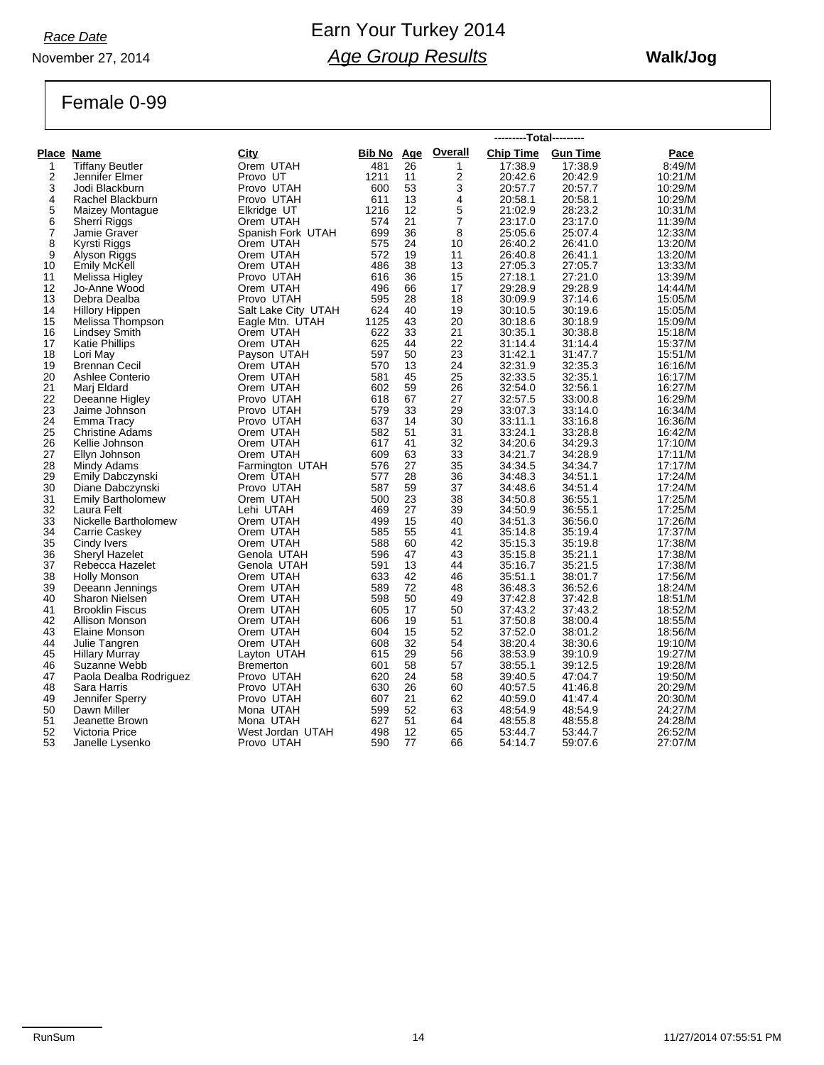*Race Date*

### Earn Your Turkey 2014 *Age Group Results*

#### **Walk/Jog**

Female 0-99

November 27, 2014

|                |                          |                     |            |    |                | ---------Total--------- |         |         |
|----------------|--------------------------|---------------------|------------|----|----------------|-------------------------|---------|---------|
|                | Place Name               | City                | Bib No Age |    | <b>Overall</b> | Chip Time Gun Time      |         | Pace    |
| 1              | <b>Tiffany Beutler</b>   | Orem UTAH           | 481        | 26 | 1              | 17:38.9                 | 17:38.9 | 8:49/M  |
| $\overline{2}$ | Jennifer Elmer           | Provo UT            | 1211       | 11 | $\overline{2}$ | 20:42.6                 | 20:42.9 | 10:21/M |
| 3              | Jodi Blackburn           | Provo UTAH          | 600        | 53 | 3              | 20:57.7                 | 20:57.7 | 10:29/M |
| 4              | Rachel Blackburn         | Provo UTAH          | 611        | 13 | 4              | 20:58.1                 | 20:58.1 | 10:29/M |
| $\frac{5}{6}$  | Maizey Montague          | Elkridge UT         | 1216       | 12 | 5              | 21:02.9                 | 28:23.2 | 10:31/M |
|                | Sherri Riggs             | Orem UTAH           | 574        | 21 | $\overline{7}$ | 23:17.0                 | 23:17.0 | 11:39/M |
| 7              | Jamie Graver             | Spanish Fork UTAH   | 699        | 36 | 8              | 25:05.6                 | 25:07.4 | 12:33/M |
| 8              | Kyrsti Riggs             | Orem UTAH           | 575        | 24 | 10             | 26:40.2                 | 26:41.0 | 13:20/M |
| 9              | Alyson Riggs             | Orem UTAH           | 572        | 19 | 11             | 26:40.8                 | 26:41.1 | 13:20/M |
| 10             | Emily McKell             | Orem UTAH           | 486        | 38 | 13             | 27:05.3                 | 27:05.7 | 13:33/M |
| 11             | Melissa Higley           | Provo UTAH          | 616        | 36 | 15             | 27:18.1                 | 27:21.0 | 13:39/M |
| 12             | Jo-Anne Wood             | Orem UTAH           | 496        | 66 | 17             | 29:28.9                 | 29:28.9 | 14:44/M |
| 13             | Debra Dealba             | Provo UTAH          | 595        | 28 | 18             | 30:09.9                 | 37:14.6 | 15:05/M |
| 14             | <b>Hillory Hippen</b>    | Salt Lake City UTAH | 624        | 40 | 19             | 30:10.5                 | 30:19.6 | 15:05/M |
| 15             | Melissa Thompson         | Eagle Mtn. UTAH     | 1125       | 43 | 20             | 30:18.6                 | 30:18.9 | 15:09/M |
| 16             | <b>Lindsey Smith</b>     | Orem UTAH           | 622        | 33 | 21             | 30:35.1                 | 30:38.8 | 15:18/M |
| 17             | <b>Katie Phillips</b>    | Orem UTAH           | 625        | 44 | 22             | 31:14.4                 | 31:14.4 | 15:37/M |
| 18             | Lori May                 | Payson UTAH         | 597        | 50 | 23             | 31:42.1                 | 31:47.7 | 15:51/M |
| 19             | <b>Brennan Cecil</b>     | Orem UTAH           | 570        | 13 | 24             | 32:31.9                 | 32:35.3 | 16:16/M |
| 20             | Ashlee Conterio          | Orem UTAH           | 581        | 45 | 25             | 32:33.5                 | 32:35.1 | 16:17/M |
| 21             | Mari Eldard              | Orem UTAH           | 602        | 59 | 26             | 32:54.0                 | 32:56.1 | 16:27/M |
| 22             | Deeanne Higley           | Provo UTAH          | 618        | 67 | 27             | 32:57.5                 | 33:00.8 | 16:29/M |
| 23             | Jaime Johnson            | Provo UTAH          | 579        | 33 | 29             | 33:07.3                 | 33:14.0 | 16:34/M |
| 24             | Emma Tracy               | Provo UTAH          | 637        | 14 | 30             | 33:11.1                 | 33:16.8 | 16:36/M |
| 25             | <b>Christine Adams</b>   | Orem UTAH           | 582        | 51 | 31             | 33:24.1                 | 33:28.8 | 16:42/M |
| 26             | Kellie Johnson           | Orem UTAH           | 617        | 41 | 32             | 34:20.6                 | 34:29.3 | 17:10/M |
| 27             | Ellyn Johnson            | Orem UTAH           | 609        | 63 | 33             | 34:21.7                 | 34:28.9 | 17:11/M |
| 28             | Mindy Adams              | Farmington UTAH     | 576        | 27 | 35             | 34:34.5                 | 34:34.7 | 17:17/M |
| 29             | Emily Dabczynski         | Orem UTAH           | 577        | 28 | 36             | 34:48.3                 | 34:51.1 | 17:24/M |
| 30             | Diane Dabczynski         | Provo UTAH          | 587        | 59 | 37             | 34:48.6                 | 34:51.4 | 17:24/M |
| 31             | <b>Emily Bartholomew</b> | Orem UTAH           | 500        | 23 | 38             | 34:50.8                 | 36:55.1 | 17:25/M |
| 32             | Laura Felt               | Lehi UTAH           | 469        | 27 | 39             | 34:50.9                 | 36:55.1 | 17:25/M |
| 33             | Nickelle Bartholomew     | Orem UTAH           | 499        | 15 | 40             | 34:51.3                 | 36:56.0 | 17:26/M |
| 34             | Carrie Caskey            | Orem UTAH           | 585        | 55 | 41             | 35:14.8                 | 35:19.4 | 17:37/M |
| 35             | Cindy Ivers              | Orem UTAH           | 588        | 60 | 42             | 35:15.3                 | 35:19.8 | 17:38/M |
| 36             | <b>Sheryl Hazelet</b>    | Genola UTAH         | 596        | 47 | 43             | 35:15.8                 | 35:21.1 | 17:38/M |
| 37             | Rebecca Hazelet          | Genola UTAH         | 591        | 13 | 44             | 35:16.7                 | 35:21.5 | 17:38/M |
| 38             | <b>Holly Monson</b>      | Orem UTAH           | 633        | 42 | 46             | 35:51.1                 | 38:01.7 | 17:56/M |
| 39             | Deeann Jennings          | Orem UTAH           | 589        | 72 | 48             | 36:48.3                 | 36:52.6 | 18:24/M |
| 40             | <b>Sharon Nielsen</b>    | Orem UTAH           | 598        | 50 | 49             | 37:42.8                 | 37:42.8 | 18:51/M |
| 41             | <b>Brooklin Fiscus</b>   | Orem UTAH           | 605        | 17 | 50             | 37:43.2                 | 37:43.2 | 18:52/M |
| 42             | Allison Monson           | Orem UTAH           | 606        | 19 | 51             | 37:50.8                 | 38:00.4 | 18:55/M |
| 43             | Elaine Monson            | Orem UTAH           | 604        | 15 | 52             | 37:52.0                 | 38:01.2 | 18:56/M |
| 44             | Julie Tangren            | Orem UTAH           | 608        | 32 | 54             | 38:20.4                 | 38:30.6 | 19:10/M |
| 45             | <b>Hillary Murray</b>    | Layton UTAH         | 615        | 29 | 56             | 38:53.9                 | 39:10.9 | 19:27/M |
| 46             | Suzanne Webb             | <b>Bremerton</b>    | 601        | 58 | 57             | 38:55.1                 | 39:12.5 | 19:28/M |
| 47             | Paola Dealba Rodriguez   | Provo UTAH          | 620        | 24 | 58             | 39:40.5                 | 47:04.7 | 19:50/M |
| 48             | Sara Harris              | Provo UTAH          | 630        | 26 | 60             | 40:57.5                 | 41:46.8 | 20:29/M |
| 49             | Jennifer Sperry          | Provo UTAH          | 607        | 21 | 62             | 40:59.0                 | 41:47.4 | 20:30/M |
| 50             | Dawn Miller              | Mona UTAH           | 599        | 52 | 63             | 48:54.9                 | 48:54.9 | 24:27/M |
| 51             | Jeanette Brown           | Mona UTAH           | 627        | 51 | 64             | 48:55.8                 | 48:55.8 | 24:28/M |
| 52             | Victoria Price           | West Jordan UTAH    | 498        | 12 | 65             | 53:44.7                 | 53:44.7 | 26:52/M |
| 53             | Janelle Lysenko          | Provo UTAH          | 590        | 77 | 66             | 54:14.7                 | 59:07.6 | 27:07/M |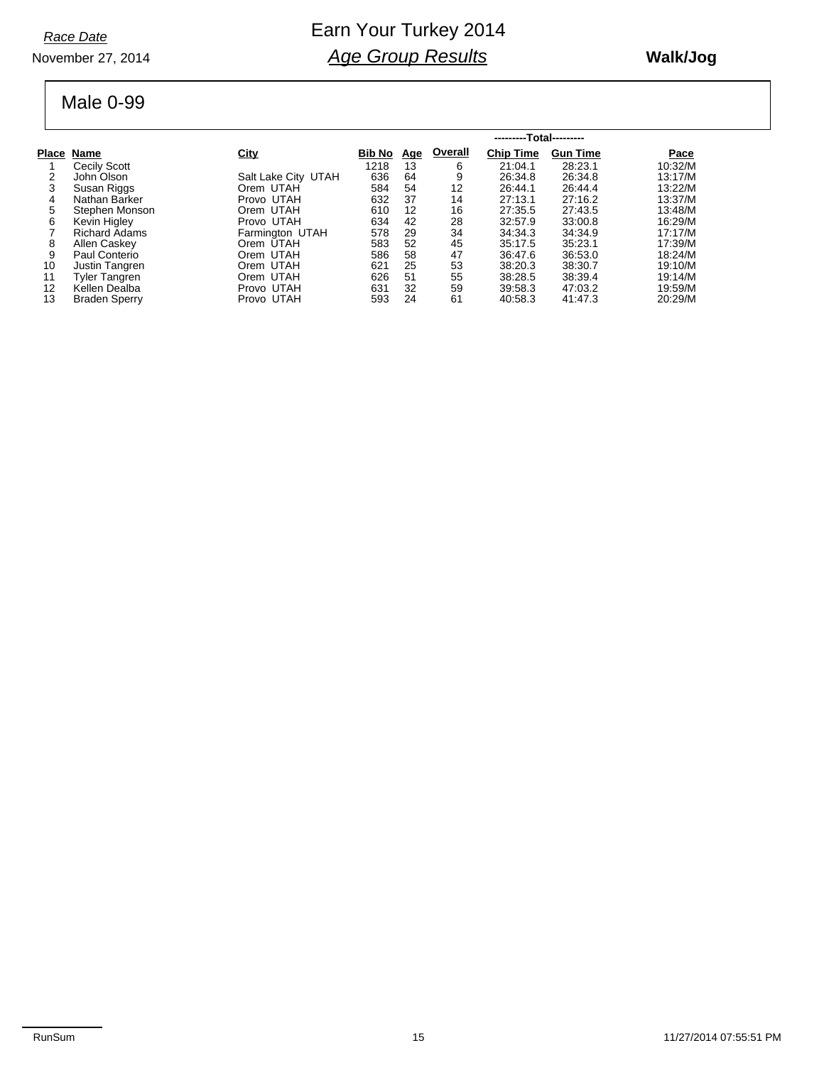*Race Date*

#### November 27, 2014

### Earn Your Turkey 2014 *Age Group Results*

#### **Walk/Jog**

#### Male 0-99

|    |                      |                     | ---------Total--------- |            |         |                  |                 |         |
|----|----------------------|---------------------|-------------------------|------------|---------|------------------|-----------------|---------|
|    | Place Name           | <b>City</b>         | Bib No                  | <u>Age</u> | Overall | <b>Chip Time</b> | <b>Gun Time</b> | Pace    |
|    | Cecily Scott         |                     | 1218                    | 13         | 6       | 21:04.1          | 28:23.1         | 10:32/M |
| 2  | John Olson           | Salt Lake City UTAH | 636                     | 64         | 9       | 26:34.8          | 26:34.8         | 13:17/M |
| 3  | Susan Riggs          | Orem UTAH           | 584                     | 54         | 12      | 26:44.1          | 26:44.4         | 13:22/M |
| 4  | Nathan Barker        | Provo UTAH          | 632                     | 37         | 14      | 27:13.1          | 27:16.2         | 13:37/M |
| 5  | Stephen Monson       | Orem UTAH           | 610                     | 12         | 16      | 27:35.5          | 27:43.5         | 13:48/M |
| 6  | Kevin Higley         | Provo UTAH          | 634                     | 42         | 28      | 32:57.9          | 33:00.8         | 16:29/M |
|    | <b>Richard Adams</b> | Farmington UTAH     | 578                     | 29         | 34      | 34:34.3          | 34:34.9         | 17:17/M |
| 8  | Allen Caskey         | Orem UTAH           | 583                     | 52         | 45      | 35:17.5          | 35:23.1         | 17:39/M |
| 9  | Paul Conterio        | Orem UTAH           | 586                     | 58         | 47      | 36.47.6          | 36:53.0         | 18:24/M |
| 10 | Justin Tangren       | Orem UTAH           | 621                     | 25         | 53      | 38:20.3          | 38:30.7         | 19:10/M |
| 11 | Tyler Tangren        | Orem UTAH           | 626                     | 51         | 55      | 38:28.5          | 38:39.4         | 19:14/M |
| 12 | Kellen Dealba        | Provo UTAH          | 631                     | 32         | 59      | 39:58.3          | 47:03.2         | 19:59/M |
| 13 | <b>Braden Sperry</b> | Provo UTAH          | 593                     | 24         | 61      | 40:58.3          | 41:47.3         | 20:29/M |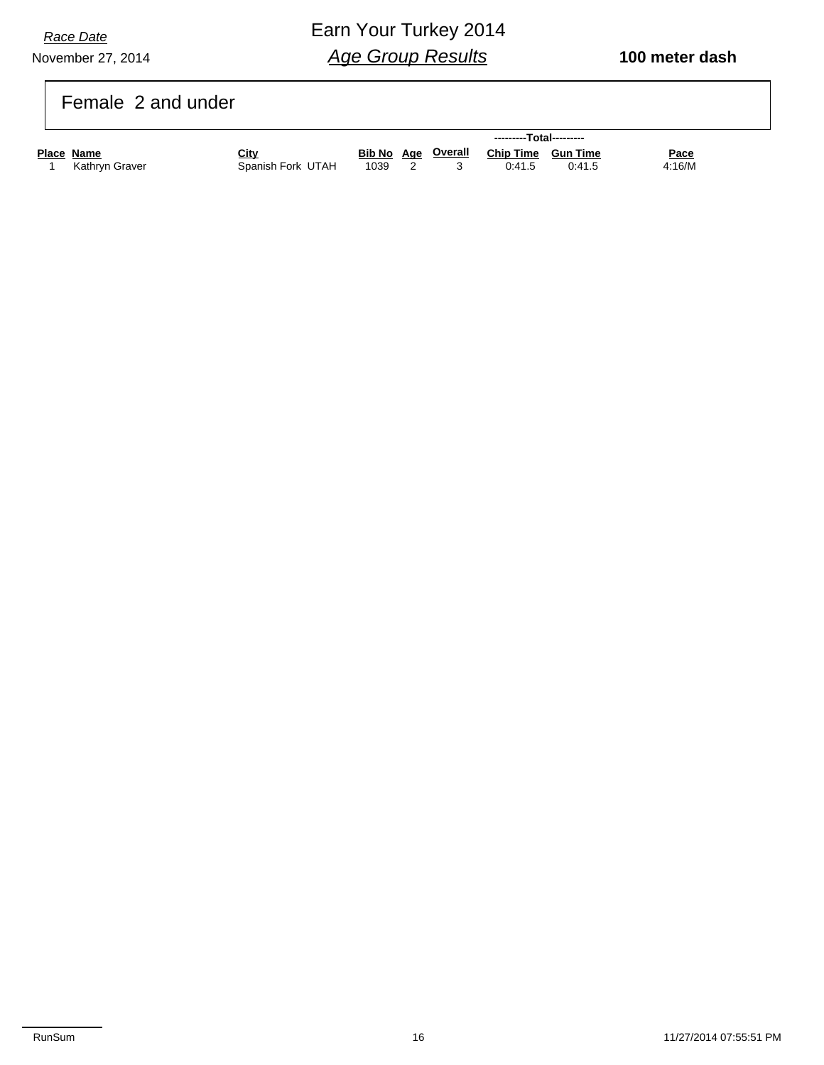November 27, 2014 *Race Date*

### Earn Your Turkey 2014 *Age Group Results*

#### Female 2 and under

|            |                |                   | ---------Total--------- |  |  |                                       |        |             |
|------------|----------------|-------------------|-------------------------|--|--|---------------------------------------|--------|-------------|
| Place Name |                | City              |                         |  |  | Bib No Age Overall Chip Time Gun Time |        | <u>Pace</u> |
|            | Kathrvn Graver | Spanish Fork UTAH | 1039                    |  |  | 0:41.5                                | 0:41.5 | 4:16/M      |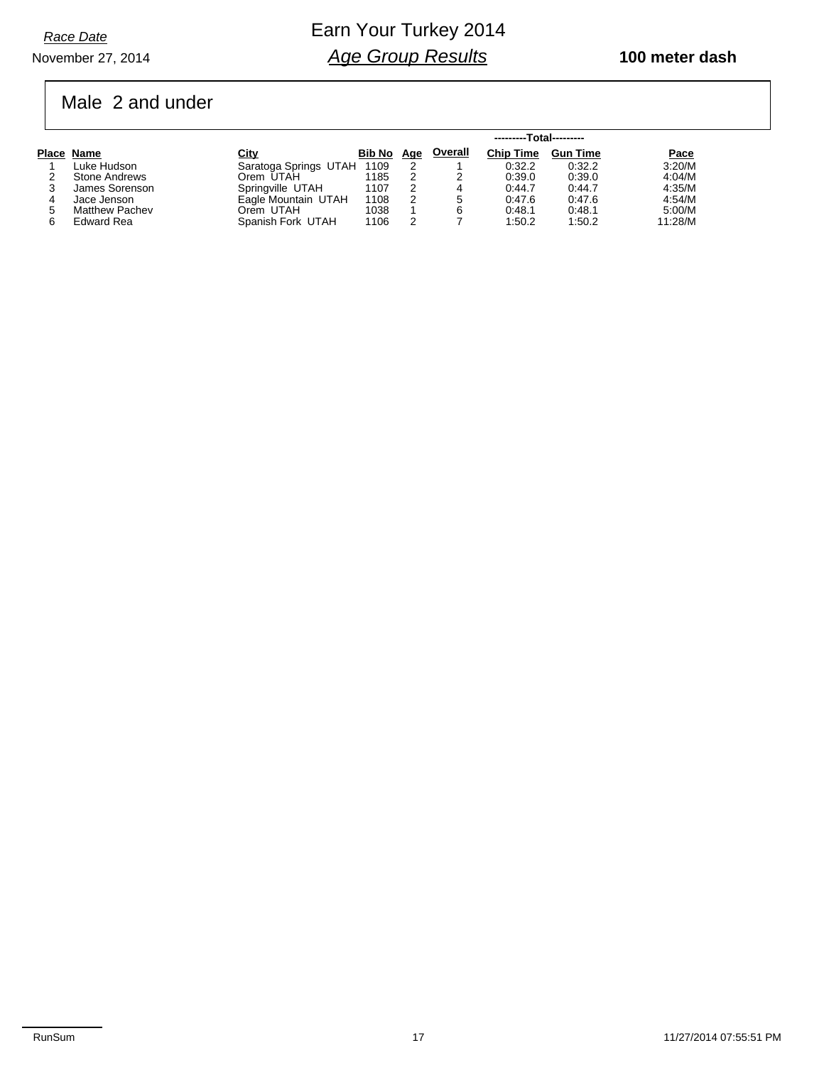### Male 2 and under

|                       |                       |            |   | ---------Total--------- |                  |                 |         |
|-----------------------|-----------------------|------------|---|-------------------------|------------------|-----------------|---------|
| Place Name            | <b>City</b>           | Bib No Age |   | <b>Overall</b>          | <b>Chip Time</b> | <b>Gun Time</b> | Pace    |
| Luke Hudson           | Saratoga Springs UTAH | 1109       |   |                         | 0:32.2           | 0:32.2          | 3:20/M  |
| Stone Andrews         | Orem UTAH             | 1185       |   |                         | 0.39.0           | 0.39.0          | 4:04/M  |
| James Sorenson        | Springville UTAH      | 1107       | 2 | 4                       | 0.44.7           | 0:44.7          | 4:35/M  |
| Jace Jenson           | Eagle Mountain UTAH   | 1108       | 2 | 5                       | 0.47.6           | 0.47.6          | 4:54/M  |
| <b>Matthew Pachev</b> | Orem UTAH             | 1038       |   | 6                       | 0:48.1           | 0:48.1          | 5:00/M  |
| Edward Rea            | Spanish Fork UTAH     | 1106       | っ |                         | 1:50.2           | 1:50.2          | 11:28/M |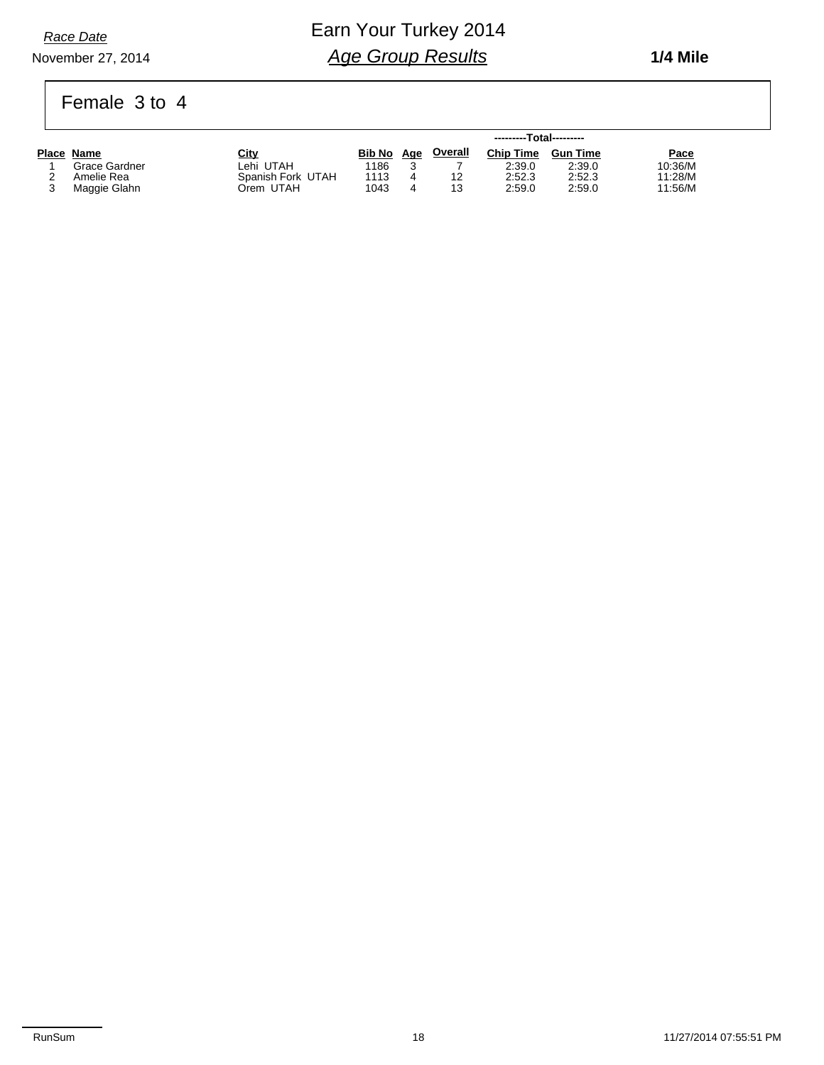November 27, 2014

### Earn Your Turkey 2014 *Age Group Results*

 **1/4 Mile**

### Female 3 to 4

|               |                   |        |     |         | ---------Total--------- |                 |         |
|---------------|-------------------|--------|-----|---------|-------------------------|-----------------|---------|
| Place Name    | <u>City</u>       | Bib No | Age | Overall | <b>Chip Time</b>        | <b>Gun Time</b> | Pace    |
| Grace Gardner | _ehi UTAH         | 1186   |     |         | 2:39.0                  | 2:39.0          | 10:36/M |
| Amelie Rea    | Spanish Fork UTAH | 1113   |     | 12      | 2:52.3                  | 2:52.3          | 11:28/M |
| Maggie Glahn  | Orem UTAH         | 1043   |     | 13      | 2:59.0                  | 2:59.0          | 11:56/M |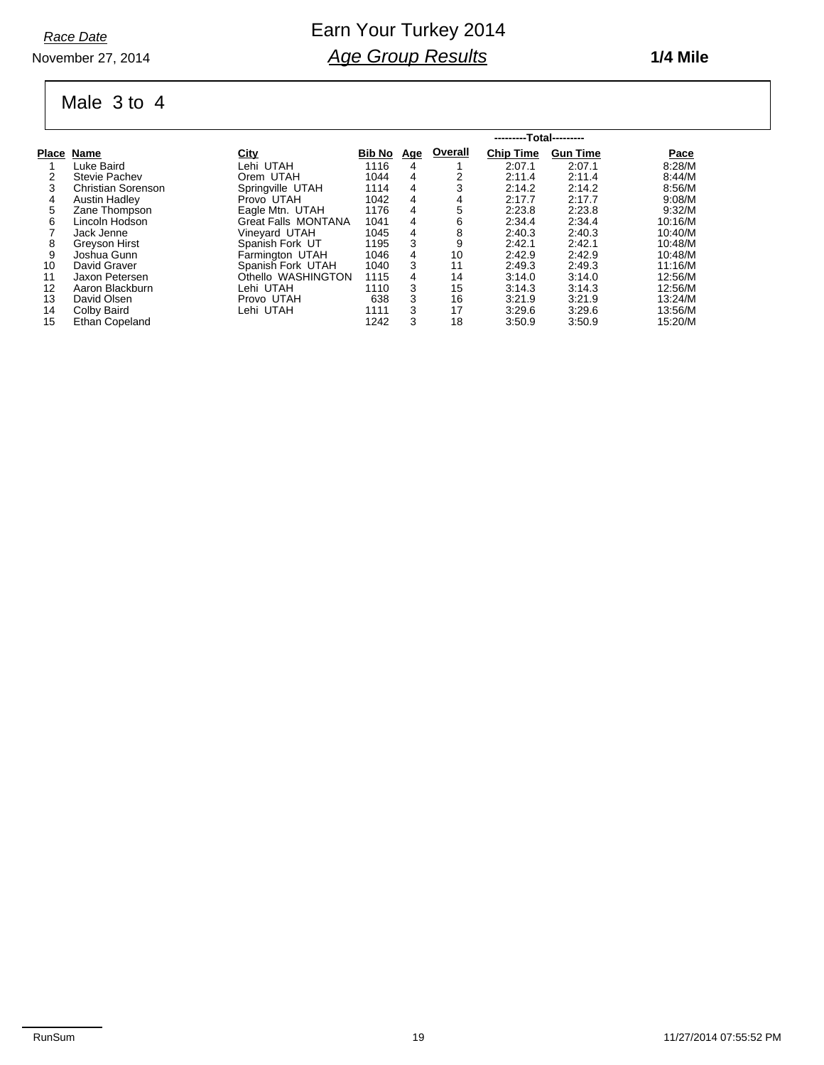#### November 27, 2014

### Earn Your Turkey 2014 *Age Group Results*

#### **1/4 Mile**

#### Male 3 to 4

|    |                           |                            | ---------Total--------- |            |         |                  |                 |             |  |  |  |
|----|---------------------------|----------------------------|-------------------------|------------|---------|------------------|-----------------|-------------|--|--|--|
|    | Place Name                | <b>City</b>                | <b>Bib No</b>           | <u>Age</u> | Overall | <b>Chip Time</b> | <b>Gun Time</b> | <b>Pace</b> |  |  |  |
|    | Luke Baird                | Lehi UTAH                  | 1116                    | 4          |         | 2:07.1           | 2:07.1          | 8:28/M      |  |  |  |
| 2  | <b>Stevie Pachev</b>      | Orem UTAH                  | 1044                    | 4          |         | 2:11.4           | 2:11.4          | 8:44/M      |  |  |  |
| 3  | <b>Christian Sorenson</b> | Springville UTAH           | 1114                    | 4          |         | 2:14.2           | 2:14.2          | 8:56/M      |  |  |  |
| 4  | <b>Austin Hadley</b>      | Provo UTAH                 | 1042                    | 4          | 4       | 2:17.7           | 2:17.7          | 9:08/M      |  |  |  |
| 5  | Zane Thompson             | Eagle Mtn. UTAH            | 1176                    | 4          | 5       | 2.23.8           | 2.23.8          | 9.32/M      |  |  |  |
| 6  | Lincoln Hodson            | <b>Great Falls MONTANA</b> | 1041                    | 4          | 6       | 2:34.4           | 2:34.4          | 10:16/M     |  |  |  |
|    | Jack Jenne                | Vineyard UTAH              | 1045                    | 4          | 8       | 2:40.3           | 2:40.3          | 10:40/M     |  |  |  |
| 8  | Greyson Hirst             | Spanish Fork UT            | 1195                    | 3          | 9       | 2:42.1           | 2:42.1          | 10:48/M     |  |  |  |
| 9  | Joshua Gunn               | Farmington UTAH            | 1046                    | 4          | 10      | 2:42.9           | 2:42.9          | 10:48/M     |  |  |  |
| 10 | David Graver              | Spanish Fork UTAH          | 1040                    | 3          | 11      | 2:49.3           | 2:49.3          | 11:16/M     |  |  |  |
| 11 | Jaxon Petersen            | Othello WASHINGTON         | 1115                    | 4          | 14      | 3:14.0           | 3:14.0          | 12:56/M     |  |  |  |
| 12 | Aaron Blackburn           | Lehi UTAH                  | 1110                    | 3          | 15      | 3.14.3           | 3.14.3          | 12:56/M     |  |  |  |
| 13 | David Olsen               | Provo UTAH                 | 638                     | 3          | 16      | 3.21.9           | 3:21.9          | 13:24/M     |  |  |  |
| 14 | Colby Baird               | Lehi UTAH                  | 1111                    | 3          | 17      | 3.29.6           | 3:29.6          | 13:56/M     |  |  |  |
| 15 | Ethan Copeland            |                            | 1242                    | 3          | 18      | 3:50.9           | 3:50.9          | 15:20/M     |  |  |  |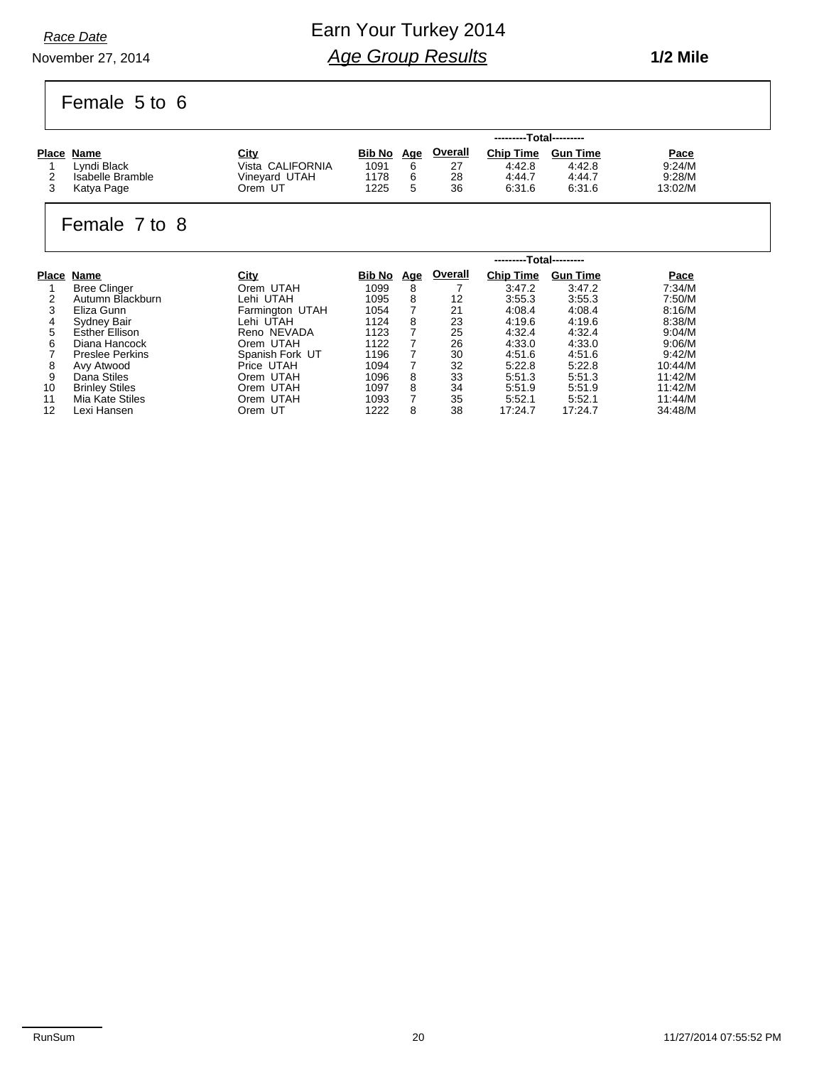### Earn Your Turkey 2014 *Age Group Results*

November 27, 2014

Female 5 to 6

|                  |                  | ---------Total--------- |            |                |                  |                 |             |  |
|------------------|------------------|-------------------------|------------|----------------|------------------|-----------------|-------------|--|
| Place Name       | City             | <b>Bib No</b>           | <u>Age</u> | <u>Overall</u> | <b>Chip Time</b> | <b>Gun Time</b> | <b>Pace</b> |  |
| Lvndi Black      | Vista CALIFORNIA | 1091                    |            | 27             | 4:42.8           | 4:42.8          | 9:24/M      |  |
| Isabelle Bramble | Vinevard UTAH    | 1178                    |            | 28             | 4:44.7           | 4:44.7          | 9:28/M      |  |
| Katya Page       | Orem UT          | 1225                    |            | 36             | 6:31.6           | 6:31.6          | 13:02/M     |  |

#### Female 7 to 8

| Place<br>Name          | <b>City</b>     | <b>Bib No</b> | Age | Overall | <b>Chip Time</b> | <b>Gun Time</b> | Pace                    |  |  |  |
|------------------------|-----------------|---------------|-----|---------|------------------|-----------------|-------------------------|--|--|--|
| <b>Bree Clinger</b>    | Orem UTAH       | 1099          | 8   |         | 3:47.2           | 3:47.2          | 7:34/M                  |  |  |  |
| Autumn Blackburn       | Lehi UTAH       | 1095          | 8   | 12      | 3:55.3           | 3:55.3          | 7:50/M                  |  |  |  |
| Eliza Gunn             | Farmington UTAH | 1054          |     | 21      | 4.08.4           | 4.08.4          | 8:16/M                  |  |  |  |
| Sydney Bair            | Lehi UTAH       | 1124          | 8   | 23      | 4:19.6           | 4:19.6          | 8:38/M                  |  |  |  |
| <b>Esther Ellison</b>  | Reno NEVADA     | 1123          |     | 25      | 4:32.4           | 4.32.4          | 9:04/M                  |  |  |  |
| Diana Hancock          | Orem UTAH       | 1122          |     | 26      | 4:33.0           | 4:33.0          | 9:06/M                  |  |  |  |
| <b>Preslee Perkins</b> | Spanish Fork UT | 1196          |     | 30      | 4:51.6           | 4:51.6          | 9:42/M                  |  |  |  |
| Avy Atwood             | Price UTAH      | 1094          |     | 32      | 5:22.8           | 5.22.8          | 10:44/M                 |  |  |  |
| Dana Stiles            | Orem UTAH       | 1096          | 8   | 33      | 5:51.3           | 5.51.3          | 11:42/M                 |  |  |  |
| <b>Brinley Stiles</b>  | Orem UTAH       | 1097          | 8   | 34      | 5:51.9           | 5:51.9          | 11:42/M                 |  |  |  |
| Mia Kate Stiles        | Orem UTAH       | 1093          | 7   | 35      | 5:52.1           | 5:52.1          | 11:44/M                 |  |  |  |
| Lexi Hansen            | Orem UT         | 1222          | 8   | 38      | 17:24.7          | 17:24.7         | 34:48/M                 |  |  |  |
|                        |                 |               |     |         |                  |                 | ---------Total--------- |  |  |  |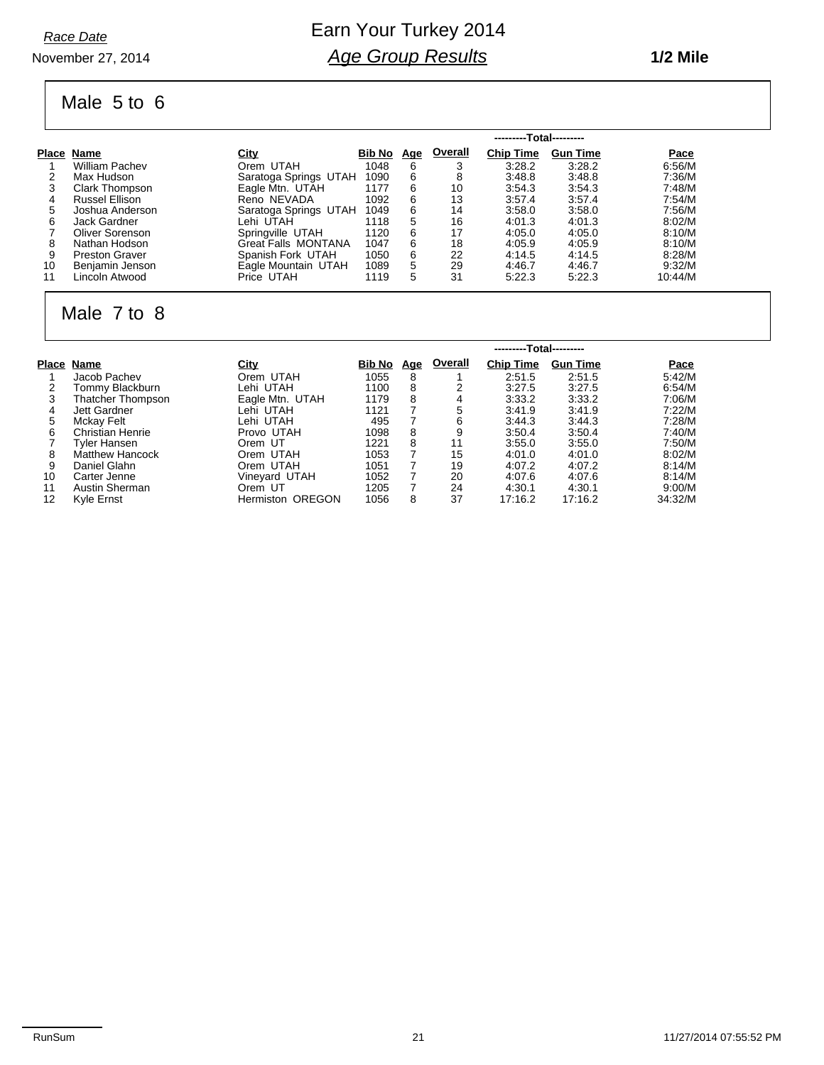#### November 27, 2014

### Earn Your Turkey 2014 *Age Group Results*

#### **1/2 Mile**

#### Male 5 to 6

|    |                       |                            | ---------Total--------- |            |         |                  |                 |         |  |  |  |  |
|----|-----------------------|----------------------------|-------------------------|------------|---------|------------------|-----------------|---------|--|--|--|--|
|    | Place Name            | <u>City</u>                | <b>Bib No</b>           | <u>Age</u> | Overall | <b>Chip Time</b> | <b>Gun Time</b> | Pace    |  |  |  |  |
|    | <b>William Pachev</b> | Orem UTAH                  | 1048                    | 6          | 3       | 3:28.2           | 3.28.2          | 6:56/M  |  |  |  |  |
| 2  | Max Hudson            | Saratoga Springs UTAH      | 1090                    | 6          | 8       | 3:48.8           | 3:48.8          | 7:36/M  |  |  |  |  |
|    | Clark Thompson        | Eagle Mtn. UTAH            | 1177                    | 6          | 10      | 3:54.3           | 3.54.3          | 7:48/M  |  |  |  |  |
| 4  | Russel Ellison        | Reno NEVADA                | 1092                    | 6          | 13      | 3.57.4           | 3.57.4          | 7:54/M  |  |  |  |  |
| 5  | Joshua Anderson       | Saratoga Springs UTAH      | 1049                    | 6          | 14      | 3:58.0           | 3.58.0          | 7:56/M  |  |  |  |  |
| 6  | Jack Gardner          | Lehi UTAH                  | 1118                    | 5          | 16      | 4:01.3           | 4:01.3          | 8:02/M  |  |  |  |  |
|    | Oliver Sorenson       | Springville UTAH           | 1120                    | 6          | 17      | 4:05.0           | 4:05.0          | 8:10/M  |  |  |  |  |
| 8  | Nathan Hodson         | <b>Great Falls MONTANA</b> | 1047                    | 6          | 18      | 4:05.9           | 4:05.9          | 8:10/M  |  |  |  |  |
| 9  | <b>Preston Graver</b> | Spanish Fork UTAH          | 1050                    | 6          | 22      | 4:14.5           | 4:14.5          | 8:28/M  |  |  |  |  |
| 10 | Benjamin Jenson       | Eagle Mountain UTAH        | 1089                    | 5          | 29      | 4:46.7           | 4:46.7          | 9:32/M  |  |  |  |  |
| 11 | Lincoln Atwood        | Price UTAH                 | 1119                    | 5          | 31      | 5.22.3           | 5:22.3          | 10:44/M |  |  |  |  |

### Male 7 to 8

|    |                         |                         | ---------Total--------- |            |         |                  |                 |         |
|----|-------------------------|-------------------------|-------------------------|------------|---------|------------------|-----------------|---------|
|    | Place Name              | <u>City</u>             | <b>Bib No</b>           | <u>Age</u> | Overall | <b>Chip Time</b> | <b>Gun Time</b> | Pace    |
|    | Jacob Pachev            | Orem UTAH               | 1055                    | 8          |         | 2:51.5           | 2:51.5          | 5:42/M  |
|    | Tommy Blackburn         | Lehi UTAH               | 1100                    | 8          |         | 3:27.5           | 3:27.5          | 6:54/M  |
| 3  | Thatcher Thompson       | Eagle Mtn. UTAH         | 1179                    | 8          |         | 3:33.2           | 3:33.2          | 7:06/M  |
| 4  | Jett Gardner            | Lehi UTAH               | 1121                    |            | 5       | 3.41.9           | 3.41.9          | 7:22/M  |
| 5  | Mckay Felt              | Lehi UTAH               | 495                     |            | 6       | 3:44.3           | 3:44.3          | 7:28/M  |
| 6  | <b>Christian Henrie</b> | Provo UTAH              | 1098                    | 8          |         | 3:50.4           | 3:50.4          | 7:40/M  |
|    | Tvler Hansen            | Orem UT                 | 1221                    | 8          | 11      | 3:55.0           | 3:55.0          | 7:50/M  |
| 8  | <b>Matthew Hancock</b>  | Orem UTAH               | 1053                    |            | 15      | 4:01.0           | 4:01.0          | 8:02/M  |
| 9  | Daniel Glahn            | Orem UTAH               | 1051                    | 7          | 19      | 4:07.2           | 4:07.2          | 8:14/M  |
| 10 | Carter Jenne            | Vineyard UTAH           | 1052                    |            | 20      | 4:07.6           | 4:07.6          | 8:14/M  |
| 11 | Austin Sherman          | Orem UT                 | 1205                    | 7          | 24      | 4:30.1           | 4:30.1          | 9:00/M  |
| 12 | Kyle Ernst              | <b>Hermiston OREGON</b> | 1056                    | 8          | 37      | 17:16.2          | 17:16.2         | 34:32/M |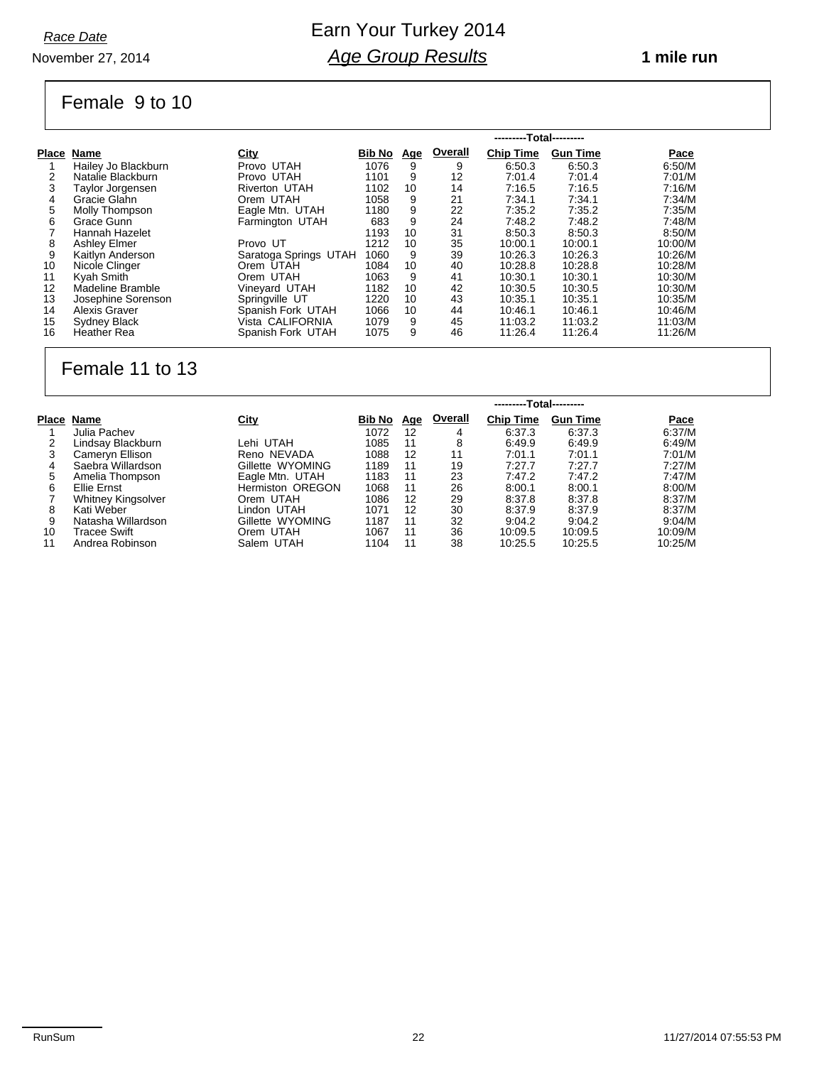November 27, 2014

### Earn Your Turkey 2014 *Age Group Results*

#### **1 mile run**

# Female 9 to 10

|       |                     |                       | ---------Total--------- |            |         |                  |                 |             |  |  |  |
|-------|---------------------|-----------------------|-------------------------|------------|---------|------------------|-----------------|-------------|--|--|--|
| Place | Name                | <u>City</u>           | Bib No                  | <u>Age</u> | Overall | <b>Chip Time</b> | <b>Gun Time</b> | <b>Pace</b> |  |  |  |
|       | Hailey Jo Blackburn | Provo UTAH            | 1076                    | 9          | 9       | 6:50.3           | 6:50.3          | 6:50/M      |  |  |  |
| 2     | Natalie Blackburn   | Provo UTAH            | 1101                    | 9          | 12      | 7:01.4           | 7:01.4          | 7:01/M      |  |  |  |
|       | Taylor Jorgensen    | <b>Riverton UTAH</b>  | 1102                    | 10         | 14      | 7:16.5           | 7:16.5          | 7:16/M      |  |  |  |
| 4     | Gracie Glahn        | Orem UTAH             | 1058                    | 9          | 21      | 7:34.1           | 7.34.1          | 7:34/M      |  |  |  |
| 5     | Molly Thompson      | Eagle Mtn. UTAH       | 1180                    | 9          | 22      | 7:35.2           | 7:35.2          | 7:35/M      |  |  |  |
| 6     | Grace Gunn          | Farmington UTAH       | 683                     | 9          | 24      | 7:48.2           | 7:48.2          | 7:48/M      |  |  |  |
|       | Hannah Hazelet      |                       | 1193                    | 10         | 31      | 8:50.3           | 8:50.3          | 8:50/M      |  |  |  |
| 8     | <b>Ashley Elmer</b> | Provo UT              | 1212                    | 10         | 35      | 10:00.1          | 10:00.1         | 10:00/M     |  |  |  |
| 9     | Kaitlyn Anderson    | Saratoga Springs UTAH | 1060                    | 9          | 39      | 10:26.3          | 10:26.3         | 10:26/M     |  |  |  |
| 10    | Nicole Clinger      | Orem UTAH             | 1084                    | 10         | 40      | 10:28.8          | 10:28.8         | 10:28/M     |  |  |  |
| 11    | Kyah Smith          | Orem UTAH             | 1063                    | 9          | 41      | 10:30.1          | 10:30.1         | 10:30/M     |  |  |  |
| 12    | Madeline Bramble    | Vineyard UTAH         | 1182                    | 10         | 42      | 10:30.5          | 10:30.5         | 10:30/M     |  |  |  |
| 13    | Josephine Sorenson  | Springville UT        | 1220                    | 10         | 43      | 10:35.1          | 10:35.1         | 10:35/M     |  |  |  |
| 14    | Alexis Graver       | Spanish Fork UTAH     | 1066                    | 10         | 44      | 10:46.1          | 10:46.1         | 10:46/M     |  |  |  |
| 15    | Sydney Black        | Vista CALIFORNIA      | 1079                    | 9          | 45      | 11:03.2          | 11:03.2         | 11:03/M     |  |  |  |
| 16    | <b>Heather Rea</b>  | Spanish Fork UTAH     | 1075                    | 9          | 46      | 11:26.4          | 11:26.4         | 11:26/M     |  |  |  |

### Female 11 to 13

|       |                           |                         | ---------Total--------- |            |         |                  |                 |         |  |  |  |
|-------|---------------------------|-------------------------|-------------------------|------------|---------|------------------|-----------------|---------|--|--|--|
| Place | Name                      | City                    | Bib No                  | <u>Age</u> | Overall | <b>Chip Time</b> | <b>Gun Time</b> | Pace    |  |  |  |
|       | Julia Pachev              |                         | 1072                    | 12         | 4       | 6:37.3           | 6.37.3          | 6:37/M  |  |  |  |
|       | Lindsay Blackburn         | Lehi UTAH               | 1085                    | 11         | 8       | 6:49.9           | 6.49.9          | 6:49/M  |  |  |  |
|       | Cameryn Ellison           | Reno NEVADA             | 1088                    | 12         | 11      | 7:01.1           | 7:01.1          | 7:01/M  |  |  |  |
| 4     | Saebra Willardson         | Gillette WYOMING        | 1189                    | 11         | 19      | 7:27.7           | 7:27.7          | 7:27/M  |  |  |  |
| 5     | Amelia Thompson           | Eagle Mtn. UTAH         | 1183                    | 11         | 23      | 7.47.2           | 7:47.2          | 7:47/M  |  |  |  |
| 6     | Ellie Ernst               | <b>Hermiston OREGON</b> | 1068                    | 11         | 26      | 8:00.1           | 8:00.1          | 8:00/M  |  |  |  |
|       | <b>Whitney Kingsolver</b> | Orem UTAH               | 1086                    | 12         | 29      | 8:37.8           | 8:37.8          | 8:37/M  |  |  |  |
| 8     | Kati Weber                | Lindon UTAH             | 1071                    | 12         | 30      | 8:37.9           | 8:37.9          | 8:37/M  |  |  |  |
| 9     | Natasha Willardson        | Gillette WYOMING        | 1187                    | 11         | 32      | 9:04.2           | 9:04.2          | 9:04/M  |  |  |  |
| 10    | Tracee Swift              | Orem UTAH               | 1067                    | 11         | 36      | 10:09.5          | 10:09.5         | 10:09/M |  |  |  |
| 11    | Andrea Robinson           | Salem UTAH              | 1104                    | 11         | 38      | 10:25.5          | 10:25.5         | 10:25/M |  |  |  |